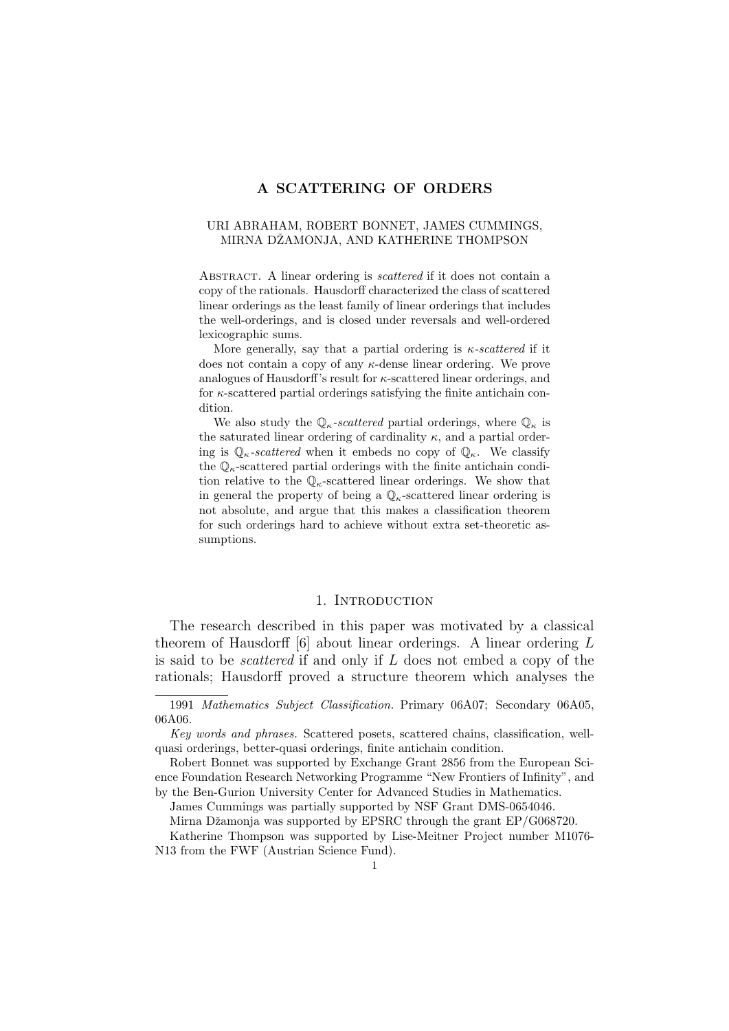## A SCATTERING OF ORDERS

## URI ABRAHAM, ROBERT BONNET, JAMES CUMMINGS, MIRNA DŽAMONJA, AND KATHERINE THOMPSON

ABSTRACT. A linear ordering is *scattered* if it does not contain a copy of the rationals. Hausdorff characterized the class of scattered linear orderings as the least family of linear orderings that includes the well-orderings, and is closed under reversals and well-ordered lexicographic sums.

More generally, say that a partial ordering is  $\kappa$ -scattered if it does not contain a copy of any  $\kappa$ -dense linear ordering. We prove analogues of Hausdorff's result for  $\kappa$ -scattered linear orderings, and for  $\kappa$ -scattered partial orderings satisfying the finite antichain condition.

We also study the  $\mathbb{Q}_{\kappa}$ -scattered partial orderings, where  $\mathbb{Q}_{\kappa}$  is the saturated linear ordering of cardinality  $\kappa$ , and a partial ordering is  $\mathbb{Q}_{\kappa}$ -scattered when it embeds no copy of  $\mathbb{Q}_{\kappa}$ . We classify the  $\mathbb{Q}_{\kappa}$ -scattered partial orderings with the finite antichain condition relative to the  $\mathbb{Q}_{\kappa}$ -scattered linear orderings. We show that in general the property of being a  $\mathbb{Q}_{\kappa}$ -scattered linear ordering is not absolute, and argue that this makes a classification theorem for such orderings hard to achieve without extra set-theoretic assumptions.

## 1. INTRODUCTION

The research described in this paper was motivated by a classical theorem of Hausdorff [6] about linear orderings. A linear ordering L is said to be scattered if and only if L does not embed a copy of the rationals; Hausdorff proved a structure theorem which analyses the

James Cummings was partially supported by NSF Grant DMS-0654046.

Mirna Džamonja was supported by EPSRC through the grant EP/G068720.

Katherine Thompson was supported by Lise-Meitner Project number M1076- N13 from the FWF (Austrian Science Fund).

<sup>1991</sup> Mathematics Subject Classification. Primary 06A07; Secondary 06A05, 06A06.

Key words and phrases. Scattered posets, scattered chains, classification, wellquasi orderings, better-quasi orderings, finite antichain condition.

Robert Bonnet was supported by Exchange Grant 2856 from the European Science Foundation Research Networking Programme "New Frontiers of Infinity", and by the Ben-Gurion University Center for Advanced Studies in Mathematics.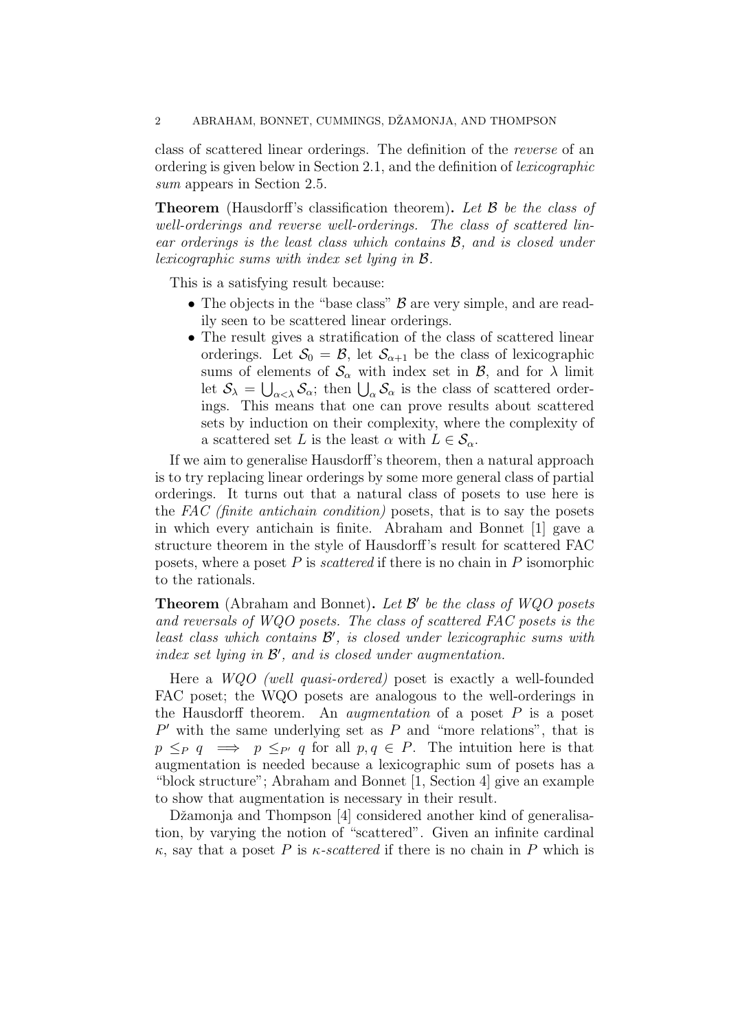class of scattered linear orderings. The definition of the reverse of an ordering is given below in Section 2.1, and the definition of lexicographic sum appears in Section 2.5.

**Theorem** (Hausdorff's classification theorem). Let  $\mathcal{B}$  be the class of well-orderings and reverse well-orderings. The class of scattered linear orderings is the least class which contains B, and is closed under lexicographic sums with index set lying in B.

This is a satisfying result because:

- The objects in the "base class"  $\beta$  are very simple, and are readily seen to be scattered linear orderings.
- The result gives a stratification of the class of scattered linear orderings. Let  $S_0 = \mathcal{B}$ , let  $S_{\alpha+1}$  be the class of lexicographic sums of elements of  $\mathcal{S}_{\alpha}$  with index set in  $\mathcal{B}_{\alpha}$ , and for  $\lambda$  limit let  $S_{\lambda} = \bigcup_{\alpha < \lambda} S_{\alpha}$ ; then  $\bigcup_{\alpha} S_{\alpha}$  is the class of scattered orderings. This means that one can prove results about scattered sets by induction on their complexity, where the complexity of a scattered set L is the least  $\alpha$  with  $L \in \mathcal{S}_{\alpha}$ .

If we aim to generalise Hausdorff's theorem, then a natural approach is to try replacing linear orderings by some more general class of partial orderings. It turns out that a natural class of posets to use here is the FAC (finite antichain condition) posets, that is to say the posets in which every antichain is finite. Abraham and Bonnet [1] gave a structure theorem in the style of Hausdorff's result for scattered FAC posets, where a poset  $P$  is *scattered* if there is no chain in  $P$  isomorphic to the rationals.

**Theorem** (Abraham and Bonnet). Let  $\mathcal{B}'$  be the class of WQO posets and reversals of WQO posets. The class of scattered FAC posets is the least class which contains  $\mathcal{B}'$ , is closed under lexicographic sums with  $index set lying in  $B'$ , and is closed under augmentation.$ 

Here a WQO (well quasi-ordered) poset is exactly a well-founded FAC poset; the WQO posets are analogous to the well-orderings in the Hausdorff theorem. An *augmentation* of a poset  $P$  is a poset  $P'$  with the same underlying set as  $P$  and "more relations", that is  $p \leq_{P} q \implies p \leq_{P'} q$  for all  $p, q \in P$ . The intuition here is that augmentation is needed because a lexicographic sum of posets has a "block structure"; Abraham and Bonnet [1, Section 4] give an example to show that augmentation is necessary in their result.

Džamonja and Thompson [4] considered another kind of generalisation, by varying the notion of "scattered". Given an infinite cardinal  $\kappa$ , say that a poset P is  $\kappa$ -scattered if there is no chain in P which is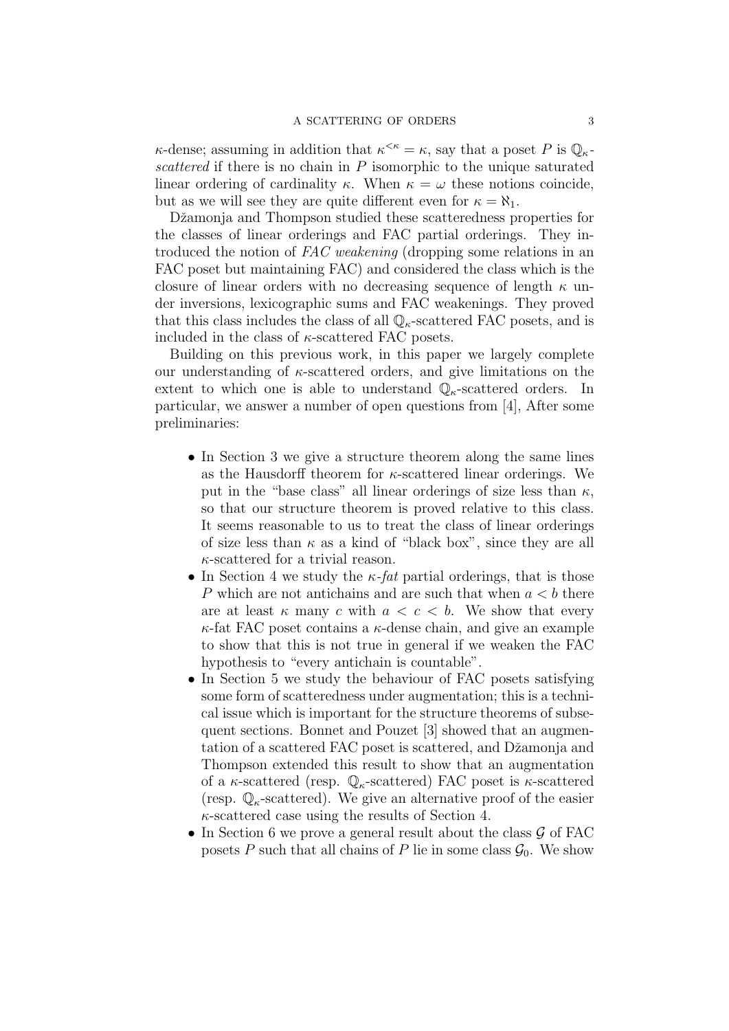$\kappa$ -dense; assuming in addition that  $\kappa^{\leq \kappa} = \kappa$ , say that a poset P is  $\mathbb{Q}_{\kappa}$ scattered if there is no chain in  $P$  isomorphic to the unique saturated linear ordering of cardinality κ. When  $\kappa = \omega$  these notions coincide, but as we will see they are quite different even for  $\kappa = \aleph_1$ .

Džamonja and Thompson studied these scatteredness properties for the classes of linear orderings and FAC partial orderings. They introduced the notion of FAC weakening (dropping some relations in an FAC poset but maintaining FAC) and considered the class which is the closure of linear orders with no decreasing sequence of length  $\kappa$  under inversions, lexicographic sums and FAC weakenings. They proved that this class includes the class of all  $\mathbb{Q}_{\kappa}$ -scattered FAC posets, and is included in the class of  $\kappa$ -scattered FAC posets.

Building on this previous work, in this paper we largely complete our understanding of  $\kappa$ -scattered orders, and give limitations on the extent to which one is able to understand  $\mathbb{Q}_{\kappa}$ -scattered orders. In particular, we answer a number of open questions from [4], After some preliminaries:

- In Section 3 we give a structure theorem along the same lines as the Hausdorff theorem for  $\kappa$ -scattered linear orderings. We put in the "base class" all linear orderings of size less than  $\kappa$ , so that our structure theorem is proved relative to this class. It seems reasonable to us to treat the class of linear orderings of size less than  $\kappa$  as a kind of "black box", since they are all  $\kappa$ -scattered for a trivial reason.
- In Section 4 we study the  $\kappa$ -fat partial orderings, that is those P which are not antichains and are such that when  $a < b$  there are at least  $\kappa$  many c with  $a < c < b$ . We show that every  $\kappa$ -fat FAC poset contains a  $\kappa$ -dense chain, and give an example to show that this is not true in general if we weaken the FAC hypothesis to "every antichain is countable".
- In Section 5 we study the behaviour of FAC posets satisfying some form of scatteredness under augmentation; this is a technical issue which is important for the structure theorems of subsequent sections. Bonnet and Pouzet [3] showed that an augmentation of a scattered FAC poset is scattered, and Džamonja and Thompson extended this result to show that an augmentation of a  $\kappa$ -scattered (resp.  $\mathbb{Q}_{\kappa}$ -scattered) FAC poset is  $\kappa$ -scattered (resp.  $\mathbb{Q}_{\kappa}$ -scattered). We give an alternative proof of the easier  $\kappa$ -scattered case using the results of Section 4.
- In Section 6 we prove a general result about the class  $\mathcal G$  of FAC posets P such that all chains of P lie in some class  $\mathcal{G}_0$ . We show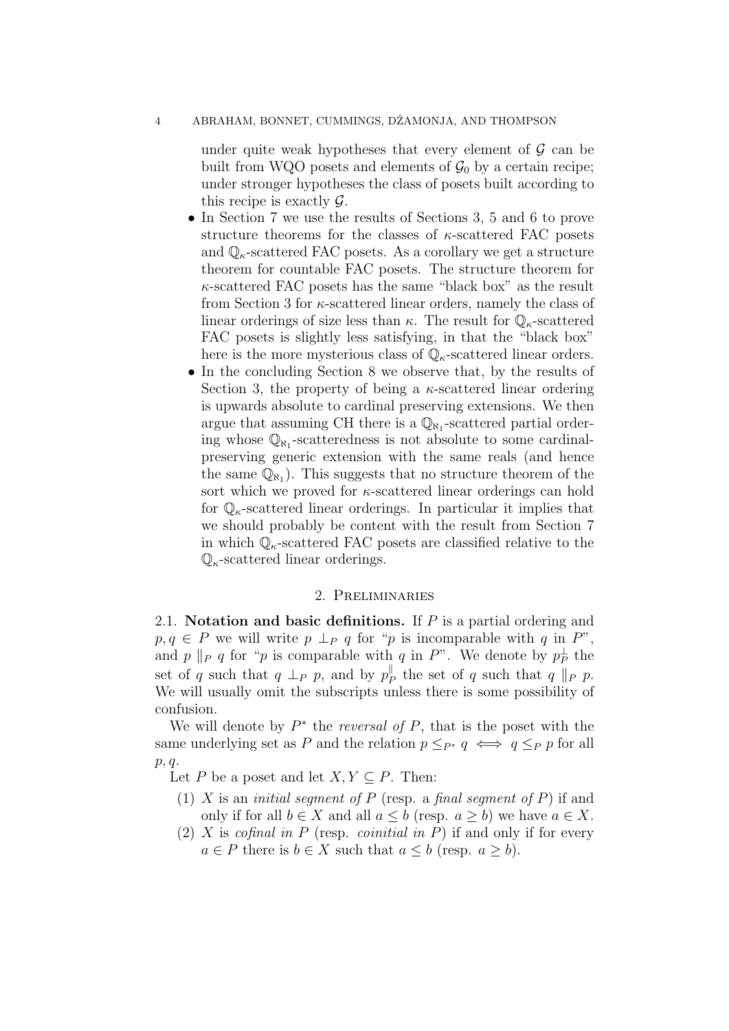under quite weak hypotheses that every element of  $\mathcal G$  can be built from WQO posets and elements of  $\mathcal{G}_0$  by a certain recipe; under stronger hypotheses the class of posets built according to this recipe is exactly  $\mathcal{G}$ .

- In Section 7 we use the results of Sections 3, 5 and 6 to prove structure theorems for the classes of  $\kappa$ -scattered FAC posets and  $\mathbb{Q}_{\kappa}$ -scattered FAC posets. As a corollary we get a structure theorem for countable FAC posets. The structure theorem for  $\kappa$ -scattered FAC posets has the same "black box" as the result from Section 3 for  $\kappa$ -scattered linear orders, namely the class of linear orderings of size less than  $\kappa$ . The result for  $\mathbb{Q}_{\kappa}$ -scattered FAC posets is slightly less satisfying, in that the "black box" here is the more mysterious class of  $\mathbb{Q}_{\kappa}$ -scattered linear orders.
- In the concluding Section 8 we observe that, by the results of Section 3, the property of being a  $\kappa$ -scattered linear ordering is upwards absolute to cardinal preserving extensions. We then argue that assuming CH there is a  $\mathbb{Q}_{\aleph_1}$ -scattered partial ordering whose  $\mathbb{Q}_{N_1}$ -scatteredness is not absolute to some cardinalpreserving generic extension with the same reals (and hence the same  $\overline{\mathbb{Q}_{N_1}}$ . This suggests that no structure theorem of the sort which we proved for  $\kappa$ -scattered linear orderings can hold for  $\mathbb{Q}_{\kappa}$ -scattered linear orderings. In particular it implies that we should probably be content with the result from Section 7 in which  $\mathbb{Q}_{\kappa}$ -scattered FAC posets are classified relative to the  $\mathbb{Q}_{\kappa}$ -scattered linear orderings.

## 2. Preliminaries

2.1. Notation and basic definitions. If  $P$  is a partial ordering and  $p, q \in P$  we will write  $p \perp_P q$  for "p is incomparable with q in P", and p ||p q for "p is comparable with q in P". We denote by  $p_P^{\perp}$  the set of q such that  $q \perp_P p$ , and by  $p_I^{\parallel}$  $P_P^{\parallel}$  the set of q such that q  $||_P$  p. We will usually omit the subscripts unless there is some possibility of confusion.

We will denote by  $P^*$  the *reversal of*  $P$ , that is the poset with the same underlying set as P and the relation  $p \leq_{P^*} q \iff q \leq_P p$  for all p, q.

Let P be a poset and let  $X, Y \subseteq P$ . Then:

- (1) X is an *initial seqment of P* (resp. a *final seqment of P*) if and only if for all  $b \in X$  and all  $a \leq b$  (resp.  $a \geq b$ ) we have  $a \in X$ .
- (2) X is cofinal in P (resp. coinitial in P) if and only if for every  $a \in P$  there is  $b \in X$  such that  $a \leq b$  (resp.  $a \geq b$ ).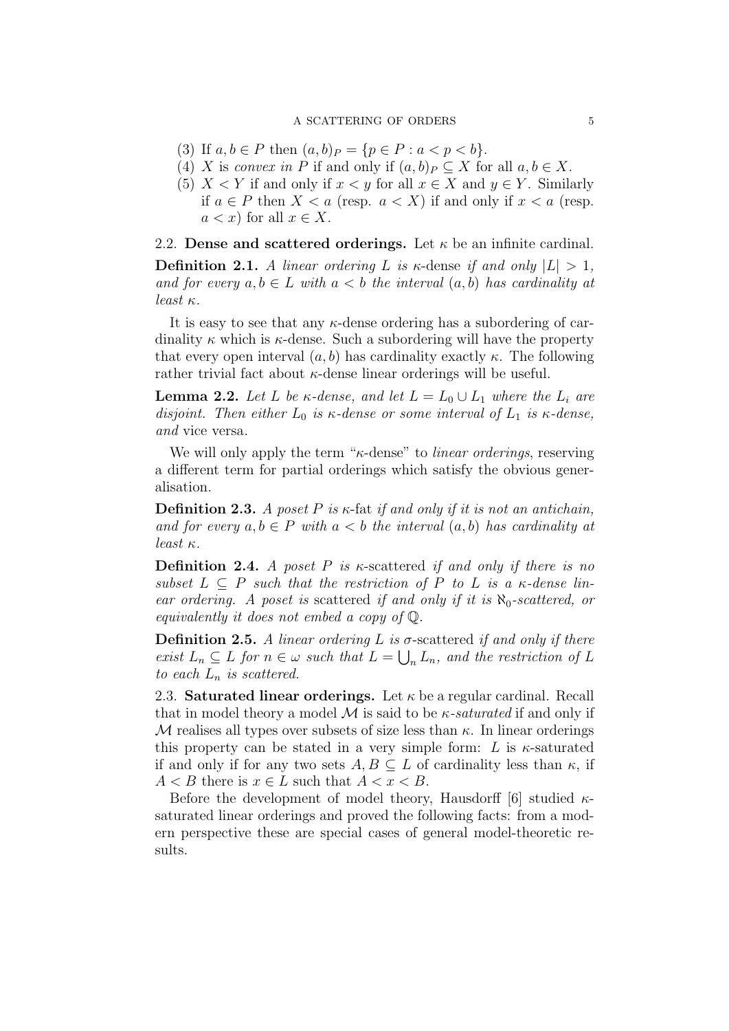- (3) If  $a, b \in P$  then  $(a, b)_P = \{p \in P : a < p < b\}.$
- (4) X is convex in P if and only if  $(a, b)_P \subseteq X$  for all  $a, b \in X$ .
- (5)  $X \leq Y$  if and only if  $x \leq y$  for all  $x \in X$  and  $y \in Y$ . Similarly if  $a \in P$  then  $X < a$  (resp.  $a < X$ ) if and only if  $x < a$  (resp.  $a < x$  for all  $x \in X$ .

2.2. Dense and scattered orderings. Let  $\kappa$  be an infinite cardinal.

**Definition 2.1.** A linear ordering L is  $\kappa$ -dense if and only  $|L| > 1$ , and for every  $a, b \in L$  with  $a < b$  the interval  $(a, b)$  has cardinality at least κ.

It is easy to see that any  $\kappa$ -dense ordering has a subordering of cardinality  $\kappa$  which is  $\kappa$ -dense. Such a subordering will have the property that every open interval  $(a, b)$  has cardinality exactly  $\kappa$ . The following rather trivial fact about  $\kappa$ -dense linear orderings will be useful.

**Lemma 2.2.** Let L be  $\kappa$ -dense, and let  $L = L_0 \cup L_1$  where the  $L_i$  are disjoint. Then either  $L_0$  is  $\kappa$ -dense or some interval of  $L_1$  is  $\kappa$ -dense, and vice versa.

We will only apply the term "κ-dense" to linear orderings, reserving a different term for partial orderings which satisfy the obvious generalisation.

**Definition 2.3.** A poset P is  $\kappa$ -fat if and only if it is not an antichain, and for every  $a, b \in P$  with  $a < b$  the interval  $(a, b)$  has cardinality at least  $\kappa$ .

**Definition 2.4.** A poset P is  $\kappa$ -scattered if and only if there is no subset  $L \subseteq P$  such that the restriction of P to L is a  $\kappa$ -dense linear ordering. A poset is scattered if and only if it is  $\aleph_0$ -scattered, or equivalently it does not embed a copy of Q.

**Definition 2.5.** A linear ordering L is  $\sigma$ -scattered if and only if there exist  $L_n \subseteq L$  for  $n \in \omega$  such that  $L = \bigcup_n L_n$ , and the restriction of L to each  $L_n$  is scattered.

2.3. Saturated linear orderings. Let  $\kappa$  be a regular cardinal. Recall that in model theory a model  $\mathcal M$  is said to be  $\kappa$ -saturated if and only if M realises all types over subsets of size less than  $\kappa$ . In linear orderings this property can be stated in a very simple form: L is  $\kappa$ -saturated if and only if for any two sets  $A, B \subseteq L$  of cardinality less than  $\kappa$ , if  $A < B$  there is  $x \in L$  such that  $A < x < B$ .

Before the development of model theory, Hausdorff [6] studied  $\kappa$ saturated linear orderings and proved the following facts: from a modern perspective these are special cases of general model-theoretic results.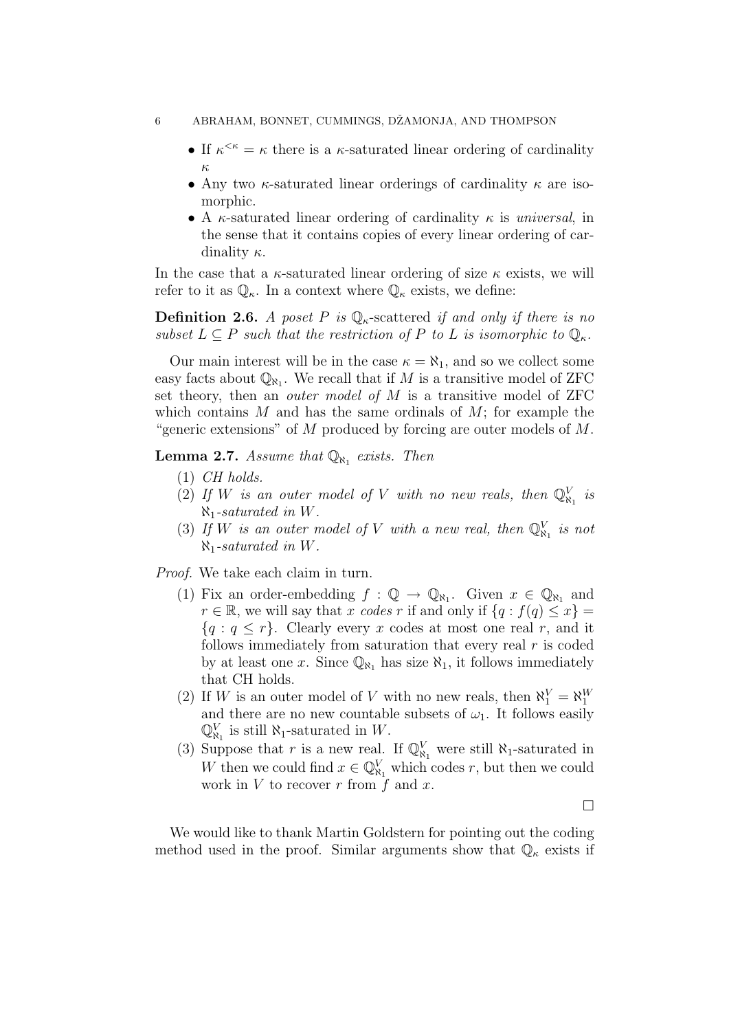#### 6 ABRAHAM, BONNET, CUMMINGS, DŽAMONJA, AND THOMPSON

- If  $\kappa^{\leq \kappa} = \kappa$  there is a  $\kappa$ -saturated linear ordering of cardinality κ
- Any two  $\kappa$ -saturated linear orderings of cardinality  $\kappa$  are isomorphic.
- A  $\kappa$ -saturated linear ordering of cardinality  $\kappa$  is universal, in the sense that it contains copies of every linear ordering of cardinality  $\kappa$ .

In the case that a  $\kappa$ -saturated linear ordering of size  $\kappa$  exists, we will refer to it as  $\mathbb{Q}_{\kappa}$ . In a context where  $\mathbb{Q}_{\kappa}$  exists, we define:

**Definition 2.6.** A poset P is  $\mathbb{Q}_{\kappa}$ -scattered if and only if there is no subset  $L \subseteq P$  such that the restriction of P to L is isomorphic to  $\mathbb{Q}_{\kappa}$ .

Our main interest will be in the case  $\kappa = \aleph_1$ , and so we collect some easy facts about  $\mathbb{Q}_{\aleph_1}$ . We recall that if M is a transitive model of ZFC set theory, then an *outer model of M* is a transitive model of ZFC which contains  $M$  and has the same ordinals of  $M$ ; for example the "generic extensions" of M produced by forcing are outer models of  $M$ .

**Lemma 2.7.** Assume that  $\mathbb{Q}_{\aleph_1}$  exists. Then

- $(1)$  CH holds.
- (2) If W is an outer model of V with no new reals, then  $\mathbb{Q}_{\aleph_1}^V$  is  $\aleph_1$ -saturated in W.
- (3) If W is an outer model of V with a new real, then  $\mathbb{Q}_{\aleph_1}^V$  is not  $\aleph_1$ -saturated in W.

Proof. We take each claim in turn.

- (1) Fix an order-embedding  $f : \mathbb{Q} \to \mathbb{Q}_{\aleph_1}$ . Given  $x \in \mathbb{Q}_{\aleph_1}$  and  $r \in \mathbb{R}$ , we will say that x codes r if and only if  $\{q : f(q) \leq x\}$  ${q : q \leq r}$ . Clearly every x codes at most one real r, and it follows immediately from saturation that every real  $r$  is coded by at least one x. Since  $\mathbb{Q}_{\aleph_1}$  has size  $\aleph_1$ , it follows immediately that CH holds.
- (2) If W is an outer model of V with no new reals, then  $\aleph_1^V = \aleph_1^W$ and there are no new countable subsets of  $\omega_1$ . It follows easily  $\mathbb{Q}_{\aleph_1}^V$  is still  $\aleph_1$ -saturated in W.
- (3) Suppose that r is a new real. If  $\mathbb{Q}_{\aleph_1}^V$  were still  $\aleph_1$ -saturated in W then we could find  $x \in \mathbb{Q}_{\aleph_1}^V$  which codes r, but then we could work in  $V$  to recover  $r$  from  $\overline{f}$  and  $x$ .

 $\Box$ 

We would like to thank Martin Goldstern for pointing out the coding method used in the proof. Similar arguments show that  $\mathbb{Q}_{\kappa}$  exists if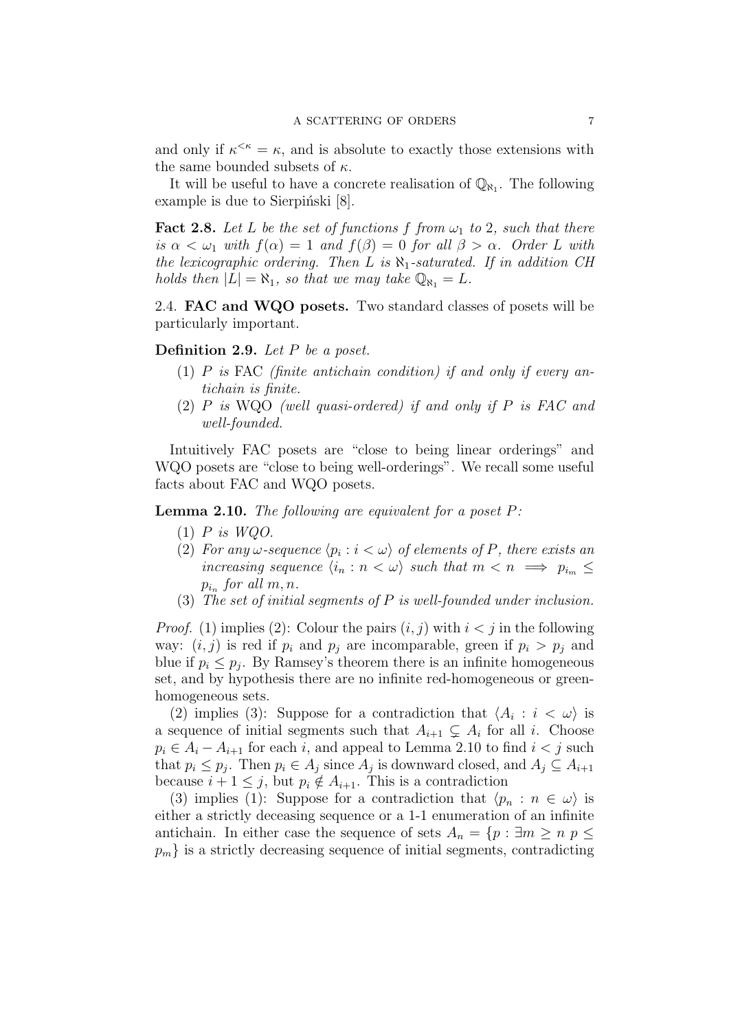and only if  $\kappa^{\leq \kappa} = \kappa$ , and is absolute to exactly those extensions with the same bounded subsets of  $\kappa$ .

It will be useful to have a concrete realisation of  $\mathbb{Q}_{N_1}$ . The following example is due to Sierpinski  $[8]$ .

**Fact 2.8.** Let L be the set of functions f from  $\omega_1$  to 2, such that there is  $\alpha < \omega_1$  with  $f(\alpha) = 1$  and  $f(\beta) = 0$  for all  $\beta > \alpha$ . Order L with the lexicographic ordering. Then L is  $\aleph_1$ -saturated. If in addition CH holds then  $|L| = \aleph_1$ , so that we may take  $\mathbb{Q}_{\aleph_1} = L$ .

2.4. FAC and WQO posets. Two standard classes of posets will be particularly important.

Definition 2.9. Let P be a poset.

- (1)  $P$  is FAC (finite antichain condition) if and only if every antichain is finite.
- $(2)$  P is WQO (well quasi-ordered) if and only if P is FAC and well-founded.

Intuitively FAC posets are "close to being linear orderings" and WQO posets are "close to being well-orderings". We recall some useful facts about FAC and WQO posets.

**Lemma 2.10.** The following are equivalent for a poset  $P$ :

- $(1)$  P is WQO.
- (2) For any  $\omega$ -sequence  $\langle p_i : i \langle \omega \rangle$  of elements of P, there exists an increasing sequence  $\langle i_n : n < \omega \rangle$  such that  $m < n \implies p_{i_m} \leq$  $p_{i_n}$  for all  $m, n$ .
- (3) The set of initial segments of  $P$  is well-founded under inclusion.

*Proof.* (1) implies (2): Colour the pairs  $(i, j)$  with  $i < j$  in the following way:  $(i, j)$  is red if  $p_i$  and  $p_j$  are incomparable, green if  $p_i > p_j$  and blue if  $p_i \leq p_j$ . By Ramsey's theorem there is an infinite homogeneous set, and by hypothesis there are no infinite red-homogeneous or greenhomogeneous sets.

(2) implies (3): Suppose for a contradiction that  $\langle A_i : i < \omega \rangle$  is a sequence of initial segments such that  $A_{i+1} \subsetneq A_i$  for all i. Choose  $p_i \in A_i - A_{i+1}$  for each i, and appeal to Lemma 2.10 to find  $i < j$  such that  $p_i \leq p_j$ . Then  $p_i \in A_j$  since  $A_j$  is downward closed, and  $A_j \subseteq A_{i+1}$ because  $i + 1 \leq j$ , but  $p_i \notin A_{i+1}$ . This is a contradiction

(3) implies (1): Suppose for a contradiction that  $\langle p_n : n \in \omega \rangle$  is either a strictly deceasing sequence or a 1-1 enumeration of an infinite antichain. In either case the sequence of sets  $A_n = \{p : \exists m \ge n \ p \le$  $p_m$  is a strictly decreasing sequence of initial segments, contradicting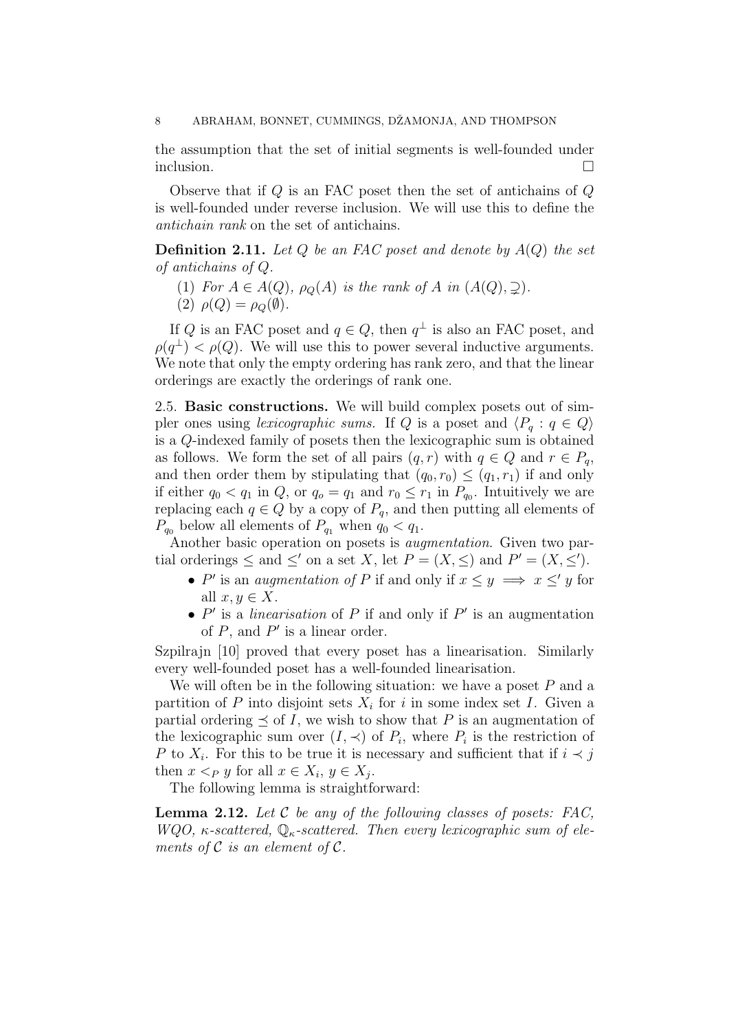the assumption that the set of initial segments is well-founded under inclusion.

Observe that if  $Q$  is an FAC poset then the set of antichains of  $Q$ is well-founded under reverse inclusion. We will use this to define the antichain rank on the set of antichains.

**Definition 2.11.** Let  $Q$  be an FAC poset and denote by  $A(Q)$  the set of antichains of Q.

- (1) For  $A \in A(Q)$ ,  $\rho_O(A)$  is the rank of A in  $(A(Q), \supseteq)$ .
- (2)  $\rho(Q) = \rho_O(\emptyset)$ .

If Q is an FAC poset and  $q \in Q$ , then  $q^{\perp}$  is also an FAC poset, and  $\rho(q^{\perp}) < \rho(Q)$ . We will use this to power several inductive arguments. We note that only the empty ordering has rank zero, and that the linear orderings are exactly the orderings of rank one.

2.5. Basic constructions. We will build complex posets out of simpler ones using lexicographic sums. If Q is a poset and  $\langle P_q : q \in Q \rangle$ is a Q-indexed family of posets then the lexicographic sum is obtained as follows. We form the set of all pairs  $(q, r)$  with  $q \in Q$  and  $r \in P_q$ , and then order them by stipulating that  $(q_0, r_0) \leq (q_1, r_1)$  if and only if either  $q_0 < q_1$  in  $Q$ , or  $q_0 = q_1$  and  $r_0 \leq r_1$  in  $P_{q_0}$ . Intuitively we are replacing each  $q \in Q$  by a copy of  $P_q$ , and then putting all elements of  $P_{q_0}$  below all elements of  $P_{q_1}$  when  $q_0 < q_1$ .

Another basic operation on posets is augmentation. Given two partial orderings  $\leq$  and  $\leq'$  on a set X, let  $P = (X, \leq)$  and  $P' = (X, \leq')$ .

- P' is an *augmentation of* P if and only if  $x \leq y \implies x \leq' y$  for all  $x, y \in X$ .
- $P'$  is a *linearisation* of P if and only if P' is an augmentation of  $P$ , and  $P'$  is a linear order.

Szpilrajn [10] proved that every poset has a linearisation. Similarly every well-founded poset has a well-founded linearisation.

We will often be in the following situation: we have a poset  $P$  and a partition of P into disjoint sets  $X_i$  for i in some index set I. Given a partial ordering  $\prec$  of I, we wish to show that P is an augmentation of the lexicographic sum over  $(I, \prec)$  of  $P_i$ , where  $P_i$  is the restriction of P to  $X_i$ . For this to be true it is necessary and sufficient that if  $i \prec j$ then  $x <_P y$  for all  $x \in X_i$ ,  $y \in X_j$ .

The following lemma is straightforward:

**Lemma 2.12.** Let  $C$  be any of the following classes of posets: FAC, WQO,  $\kappa$ -scattered,  $\mathbb{Q}_{\kappa}$ -scattered. Then every lexicographic sum of elements of  $\mathcal C$  is an element of  $\mathcal C$ .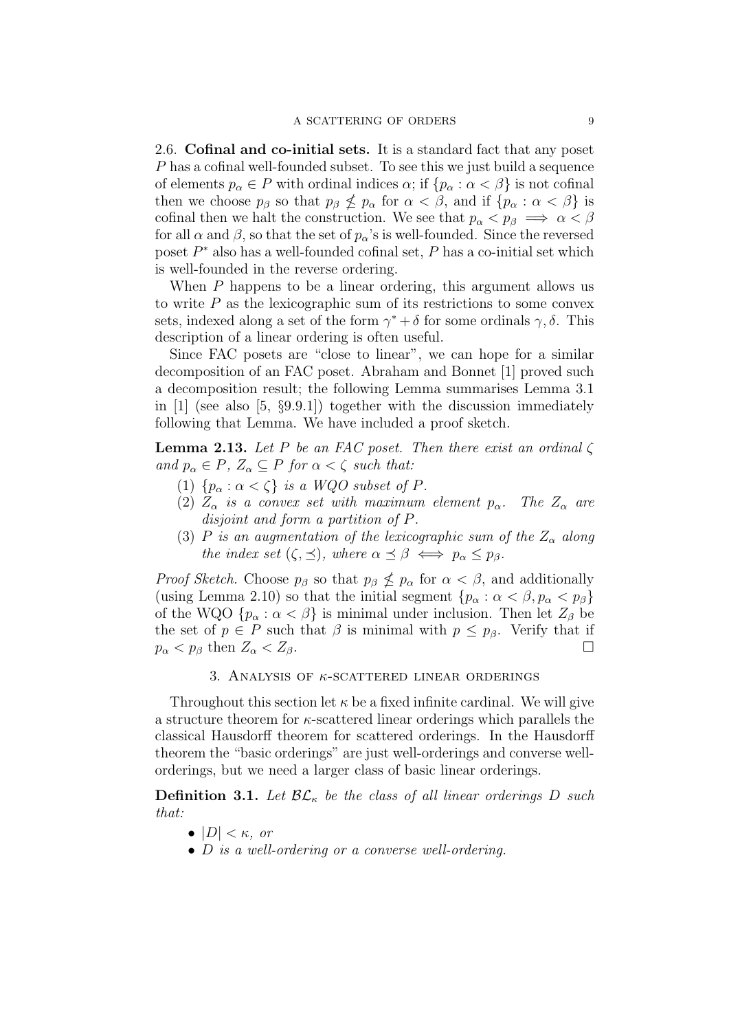2.6. Cofinal and co-initial sets. It is a standard fact that any poset P has a cofinal well-founded subset. To see this we just build a sequence of elements  $p_{\alpha} \in P$  with ordinal indices  $\alpha$ ; if  $\{p_{\alpha} : \alpha < \beta\}$  is not cofinal then we choose  $p_\beta$  so that  $p_\beta \nleq p_\alpha$  for  $\alpha < \beta$ , and if  $\{p_\alpha : \alpha < \beta\}$  is cofinal then we halt the construction. We see that  $p_{\alpha} < p_{\beta} \implies \alpha < \beta$ for all  $\alpha$  and  $\beta$ , so that the set of  $p_{\alpha}$ 's is well-founded. Since the reversed poset  $P^*$  also has a well-founded cofinal set,  $P$  has a co-initial set which is well-founded in the reverse ordering.

When P happens to be a linear ordering, this argument allows us to write  $P$  as the lexicographic sum of its restrictions to some convex sets, indexed along a set of the form  $\gamma^* + \delta$  for some ordinals  $\gamma, \delta$ . This description of a linear ordering is often useful.

Since FAC posets are "close to linear", we can hope for a similar decomposition of an FAC poset. Abraham and Bonnet [1] proved such a decomposition result; the following Lemma summarises Lemma 3.1 in [1] (see also [5, §9.9.1]) together with the discussion immediately following that Lemma. We have included a proof sketch.

**Lemma 2.13.** Let P be an FAC poset. Then there exist an ordinal  $\zeta$ and  $p_{\alpha} \in P$ ,  $Z_{\alpha} \subseteq P$  for  $\alpha < \zeta$  such that:

- (1)  $\{p_\alpha : \alpha < \zeta\}$  is a WQO subset of P.
- (2)  $Z_{\alpha}$  is a convex set with maximum element  $p_{\alpha}$ . The  $Z_{\alpha}$  are disjoint and form a partition of P.
- (3) P is an augmentation of the lexicographic sum of the  $Z_{\alpha}$  along the index set  $(\zeta, \preceq)$ , where  $\alpha \preceq \beta \iff p_{\alpha} \leq p_{\beta}$ .

*Proof Sketch.* Choose  $p_\beta$  so that  $p_\beta \nleq p_\alpha$  for  $\alpha < \beta$ , and additionally (using Lemma 2.10) so that the initial segment  $\{p_{\alpha}: \alpha < \beta, p_{\alpha} < p_{\beta}\}\$ of the WQO  $\{p_{\alpha} : \alpha < \beta\}$  is minimal under inclusion. Then let  $Z_{\beta}$  be the set of  $p \in P$  such that  $\beta$  is minimal with  $p \leq p_{\beta}$ . Verify that if  $p_{\alpha} < p_{\beta}$  then  $Z_{\alpha} < Z_{\beta}$ .

## 3. ANALYSIS OF  $\kappa$ -SCATTERED LINEAR ORDERINGS

Throughout this section let  $\kappa$  be a fixed infinite cardinal. We will give a structure theorem for  $\kappa$ -scattered linear orderings which parallels the classical Hausdorff theorem for scattered orderings. In the Hausdorff theorem the "basic orderings" are just well-orderings and converse wellorderings, but we need a larger class of basic linear orderings.

**Definition 3.1.** Let  $\mathcal{BL}_{\kappa}$  be the class of all linear orderings D such that:

- $|D| < \kappa$ , or
- D is a well-ordering or a converse well-ordering.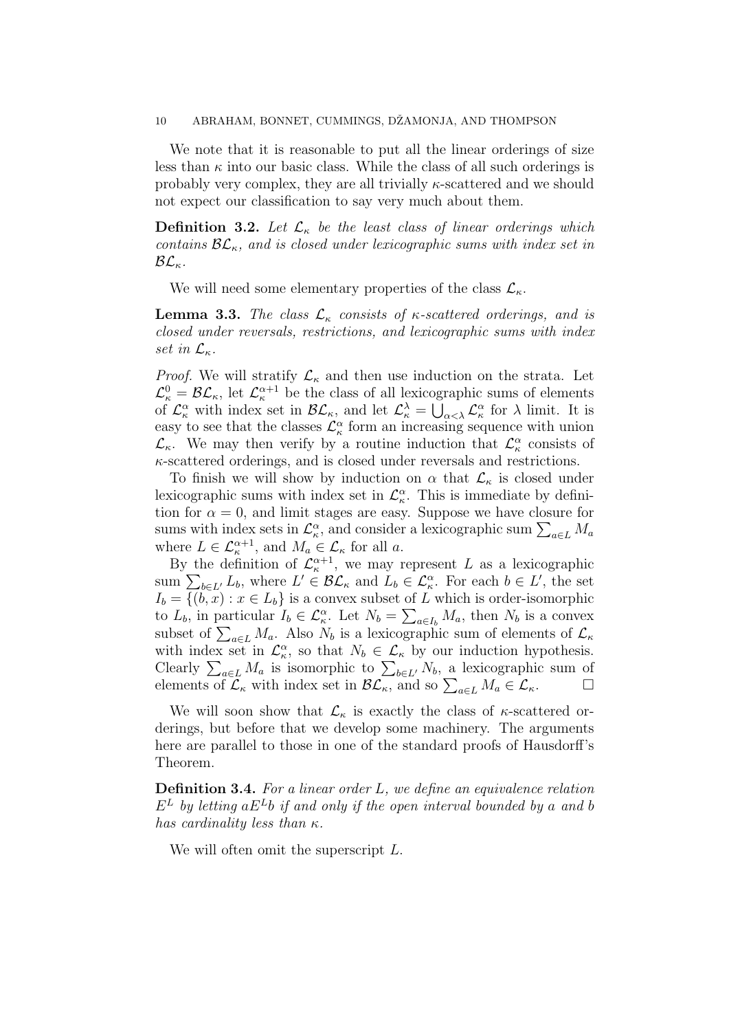#### 10 ABRAHAM, BONNET, CUMMINGS, DŽAMONJA, AND THOMPSON

We note that it is reasonable to put all the linear orderings of size less than  $\kappa$  into our basic class. While the class of all such orderings is probably very complex, they are all trivially  $\kappa$ -scattered and we should not expect our classification to say very much about them.

**Definition 3.2.** Let  $\mathcal{L}_{\kappa}$  be the least class of linear orderings which contains  $\mathcal{BL}_\kappa$ , and is closed under lexicographic sums with index set in  $\mathcal{BL}_\kappa$ .

We will need some elementary properties of the class  $\mathcal{L}_{\kappa}$ .

**Lemma 3.3.** The class  $\mathcal{L}_{\kappa}$  consists of  $\kappa$ -scattered orderings, and is closed under reversals, restrictions, and lexicographic sums with index set in  $\mathcal{L}_{\kappa}$ .

*Proof.* We will stratify  $\mathcal{L}_{\kappa}$  and then use induction on the strata. Let  $\mathcal{L}_{\kappa}^0 = \mathcal{BL}_{\kappa}$ , let  $\mathcal{L}_{\kappa}^{\alpha+1}$  be the class of all lexicographic sums of elements of  $\mathcal{L}_{\kappa}^{\alpha}$  with index set in  $\mathcal{BL}_{\kappa}$ , and let  $\mathcal{L}_{\kappa}^{\lambda} = \bigcup_{\alpha < \lambda} \mathcal{L}_{\kappa}^{\alpha}$  for  $\lambda$  limit. It is easy to see that the classes  $\mathcal{L}_{\kappa}^{\alpha}$  form an increasing sequence with union  $\mathcal{L}_{\kappa}$ . We may then verify by a routine induction that  $\mathcal{L}_{\kappa}^{\alpha}$  consists of  $\kappa$ -scattered orderings, and is closed under reversals and restrictions.

To finish we will show by induction on  $\alpha$  that  $\mathcal{L}_{\kappa}$  is closed under lexicographic sums with index set in  $\mathcal{L}_{\kappa}^{\alpha}$ . This is immediate by definition for  $\alpha = 0$ , and limit stages are easy. Suppose we have closure for sums with index sets in  $\mathcal{L}_{\kappa}^{\alpha}$ , and consider a lexicographic sum  $\sum_{a \in L} M_a$ where  $L \in \mathcal{L}_{\kappa}^{\alpha+1}$ , and  $M_a \in \mathcal{L}_{\kappa}$  for all a.

By the definition of  $\mathcal{L}_{\kappa}^{\alpha+1}$ , we may represent L as a lexicographic sum  $\sum_{b\in L'} L_b$ , where  $L' \in \mathcal{BL}_\kappa$  and  $L_b \in \mathcal{L}_\kappa^\alpha$ . For each  $b \in L'$ , the set  $I_b = \{(b, x) : x \in L_b\}$  is a convex subset of L which is order-isomorphic to  $L_b$ , in particular  $I_b \in \mathcal{L}_{\kappa}^{\alpha}$ . Let  $N_b = \sum_{a \in I_b} M_a$ , then  $N_b$  is a convex subset of  $\sum_{a\in L} M_a$ . Also  $N_b$  is a lexicographic sum of elements of  $\mathcal{L}_{\kappa}$ with index set in  $\mathcal{L}_{\kappa}^{\alpha}$ , so that  $N_b \in \mathcal{L}_{\kappa}$  by our induction hypothesis. Clearly  $\sum_{a \in L} M_a$  is isomorphic to  $\sum_{b \in L'} N_b$ , a lexicographic sum of elements of  $\mathcal{L}_{\kappa}$  with index set in  $\mathcal{BL}_{\kappa}$ , and so  $\sum_{a \in L} M_a \in \mathcal{L}_{\kappa}$ .

We will soon show that  $\mathcal{L}_{\kappa}$  is exactly the class of  $\kappa$ -scattered orderings, but before that we develop some machinery. The arguments here are parallel to those in one of the standard proofs of Hausdorff's Theorem.

**Definition 3.4.** For a linear order  $L$ , we define an equivalence relation  $E<sup>L</sup>$  by letting a $E<sup>L</sup>$  b if and only if the open interval bounded by a and b has cardinality less than  $\kappa$ .

We will often omit the superscript L.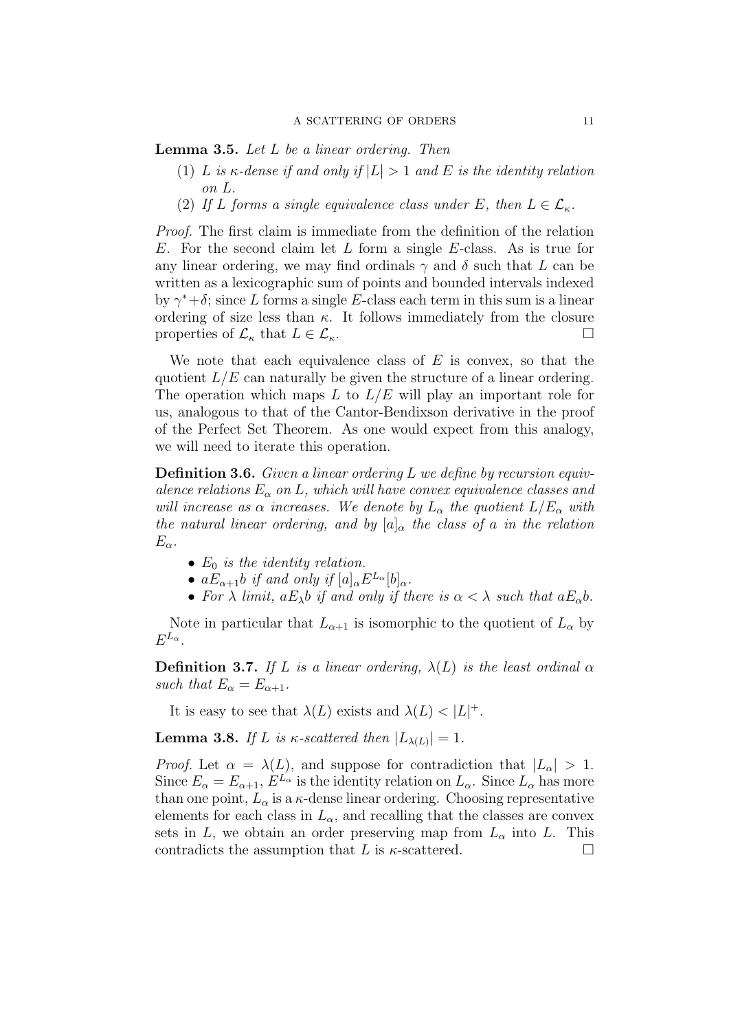**Lemma 3.5.** Let L be a linear ordering. Then

- (1) L is  $\kappa$ -dense if and only if  $|L| > 1$  and E is the identity relation on L.
- (2) If L forms a single equivalence class under E, then  $L \in \mathcal{L}_{\kappa}$ .

Proof. The first claim is immediate from the definition of the relation  $E$ . For the second claim let  $L$  form a single  $E$ -class. As is true for any linear ordering, we may find ordinals  $\gamma$  and  $\delta$  such that L can be written as a lexicographic sum of points and bounded intervals indexed by  $\gamma^* + \delta$ ; since L forms a single E-class each term in this sum is a linear ordering of size less than  $\kappa$ . It follows immediately from the closure properties of  $\mathcal{L}_{\kappa}$  that  $L \in \mathcal{L}_{\kappa}$ .

We note that each equivalence class of  $E$  is convex, so that the quotient  $L/E$  can naturally be given the structure of a linear ordering. The operation which maps L to  $L/E$  will play an important role for us, analogous to that of the Cantor-Bendixson derivative in the proof of the Perfect Set Theorem. As one would expect from this analogy, we will need to iterate this operation.

**Definition 3.6.** Given a linear ordering  $L$  we define by recursion equivalence relations  $E_{\alpha}$  on L, which will have convex equivalence classes and will increase as  $\alpha$  increases. We denote by  $L_{\alpha}$  the quotient  $L/E_{\alpha}$  with the natural linear ordering, and by  $[a]_{\alpha}$  the class of a in the relation  $E_{\alpha}$ .

- $E_0$  is the identity relation.
- $aE_{\alpha+1}b$  if and only if  $[a]_{\alpha}E^{L_{\alpha}}[b]_{\alpha}$ .
- For  $\lambda$  limit,  $aE_{\lambda}b$  if and only if there is  $\alpha < \lambda$  such that  $aE_{\alpha}b$ .

Note in particular that  $L_{\alpha+1}$  is isomorphic to the quotient of  $L_{\alpha}$  by  $E^{L_{\alpha}}$ .

**Definition 3.7.** If L is a linear ordering,  $\lambda(L)$  is the least ordinal  $\alpha$ such that  $E_{\alpha} = E_{\alpha+1}$ .

It is easy to see that  $\lambda(L)$  exists and  $\lambda(L) < |L|^+$ .

**Lemma 3.8.** If L is  $\kappa$ -scattered then  $|L_{\lambda(L)}| = 1$ .

*Proof.* Let  $\alpha = \lambda(L)$ , and suppose for contradiction that  $|L_{\alpha}| > 1$ . Since  $E_{\alpha} = E_{\alpha+1}$ ,  $E^{L_{\alpha}}$  is the identity relation on  $L_{\alpha}$ . Since  $L_{\alpha}$  has more than one point,  $L_{\alpha}$  is a  $\kappa$ -dense linear ordering. Choosing representative elements for each class in  $L_{\alpha}$ , and recalling that the classes are convex sets in L, we obtain an order preserving map from  $L_{\alpha}$  into L. This contradicts the assumption that L is  $\kappa$ -scattered.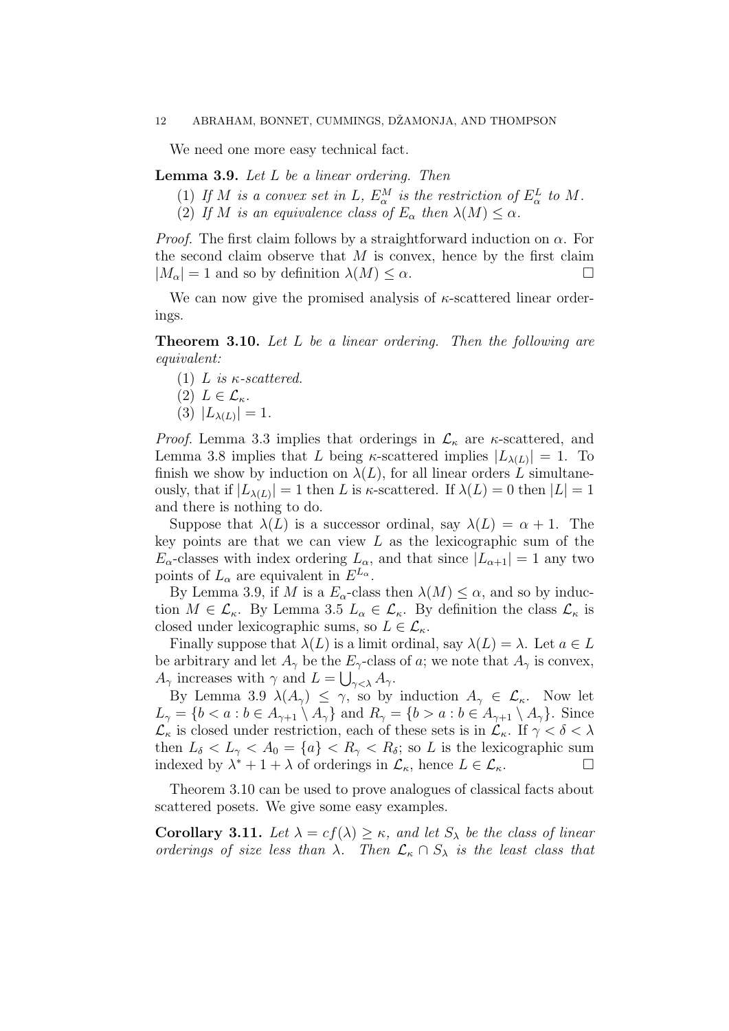We need one more easy technical fact.

## **Lemma 3.9.** Let  $L$  be a linear ordering. Then

- (1) If M is a convex set in L,  $E^M_\alpha$  is the restriction of  $E^L_\alpha$  to M.
- (2) If M is an equivalence class of  $E_{\alpha}$  then  $\lambda(M) \leq \alpha$ .

*Proof.* The first claim follows by a straightforward induction on  $\alpha$ . For the second claim observe that  $M$  is convex, hence by the first claim  $|M_{\alpha}| = 1$  and so by definition  $\lambda(M) \leq \alpha$ .

We can now give the promised analysis of  $\kappa$ -scattered linear orderings.

Theorem 3.10. Let L be a linear ordering. Then the following are equivalent:

(1) L is  $\kappa$ -scattered.

$$
(2) L \in \mathcal{L}_{\kappa}.
$$

(3)  $|L_{\lambda(L)}| = 1$ .

*Proof.* Lemma 3.3 implies that orderings in  $\mathcal{L}_{\kappa}$  are  $\kappa$ -scattered, and Lemma 3.8 implies that L being  $\kappa$ -scattered implies  $|L_{\lambda}(L)| = 1$ . To finish we show by induction on  $\lambda(L)$ , for all linear orders L simultaneously, that if  $|L_{\lambda(L)}| = 1$  then L is  $\kappa$ -scattered. If  $\lambda(L) = 0$  then  $|L| = 1$ and there is nothing to do.

Suppose that  $\lambda(L)$  is a successor ordinal, say  $\lambda(L) = \alpha + 1$ . The key points are that we can view  $L$  as the lexicographic sum of the  $E_{\alpha}$ -classes with index ordering  $L_{\alpha}$ , and that since  $|L_{\alpha+1}| = 1$  any two points of  $L_{\alpha}$  are equivalent in  $E^{L_{\alpha}}$ .

By Lemma 3.9, if M is a  $E_{\alpha}$ -class then  $\lambda(M) \leq \alpha$ , and so by induction  $M \in \mathcal{L}_{\kappa}$ . By Lemma 3.5  $L_{\alpha} \in \mathcal{L}_{\kappa}$ . By definition the class  $\mathcal{L}_{\kappa}$  is closed under lexicographic sums, so  $L \in \mathcal{L}_{\kappa}$ .

Finally suppose that  $\lambda(L)$  is a limit ordinal, say  $\lambda(L) = \lambda$ . Let  $a \in L$ be arbitrary and let  $A_{\gamma}$  be the  $E_{\gamma}$ -class of a; we note that  $A_{\gamma}$  is convex,  $A_{\gamma}$  increases with  $\gamma$  and  $L = \bigcup_{\gamma < \lambda} A_{\gamma}$ .

By Lemma 3.9  $\lambda(A_{\gamma}) \leq \gamma$ , so by induction  $A_{\gamma} \in \mathcal{L}_{\kappa}$ . Now let  $L_{\gamma} = \{b < a : b \in A_{\gamma+1} \setminus A_{\gamma}\}\$ and  $R_{\gamma} = \{b > a : b \in A_{\gamma+1} \setminus A_{\gamma}\}\$ . Since  $\mathcal{L}_{\kappa}$  is closed under restriction, each of these sets is in  $\mathcal{L}_{\kappa}$ . If  $\gamma < \delta < \lambda$ then  $L_{\delta} < L_{\gamma} < A_0 = \{a\} < R_{\gamma} < R_{\delta}$ ; so L is the lexicographic sum indexed by  $\lambda^* + 1 + \lambda$  of orderings in  $\mathcal{L}_{\kappa}$ , hence  $L \in \mathcal{L}_{\kappa}$ .

Theorem 3.10 can be used to prove analogues of classical facts about scattered posets. We give some easy examples.

Corollary 3.11. Let  $\lambda = cf(\lambda) \geq \kappa$ , and let  $S_{\lambda}$  be the class of linear orderings of size less than  $\lambda$ . Then  $\mathcal{L}_{\kappa} \cap S_{\lambda}$  is the least class that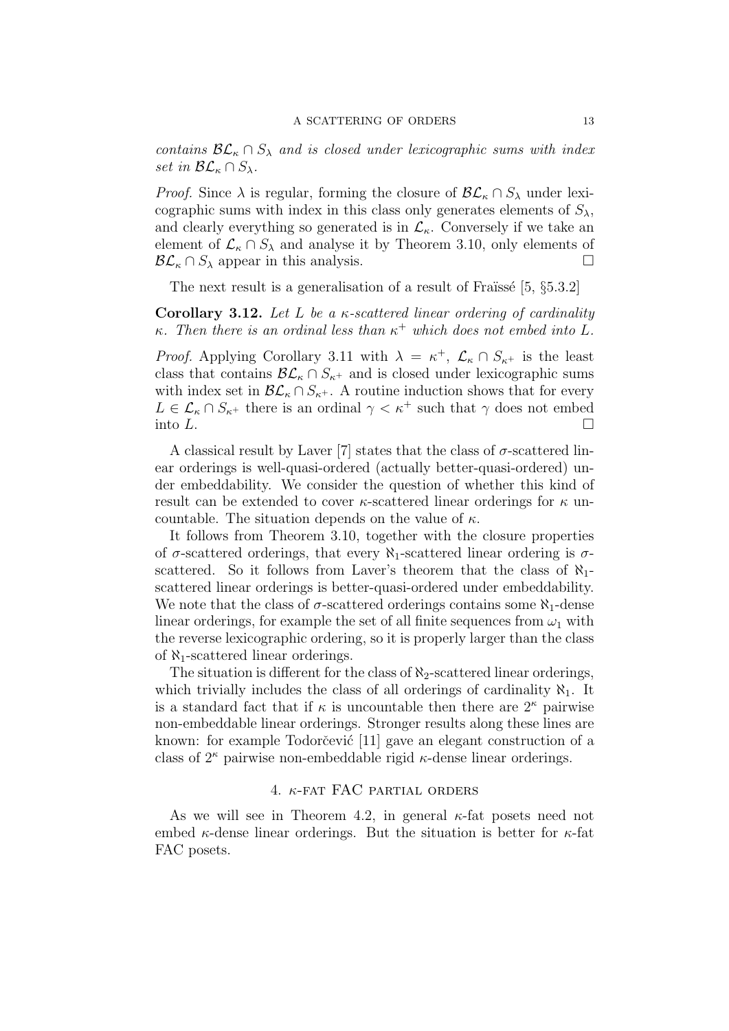contains  $\mathcal{BL}_\kappa \cap S_\lambda$  and is closed under lexicographic sums with index set in  $\mathcal{BL}_\kappa \cap S_\lambda$ .

*Proof.* Since  $\lambda$  is regular, forming the closure of  $\mathcal{BL}_{\kappa} \cap S_{\lambda}$  under lexicographic sums with index in this class only generates elements of  $S_{\lambda}$ , and clearly everything so generated is in  $\mathcal{L}_{\kappa}$ . Conversely if we take an element of  $\mathcal{L}_{\kappa} \cap S_{\lambda}$  and analyse it by Theorem 3.10, only elements of  $\mathcal{BL}_{\kappa} \cap S_{\lambda}$  appear in this analysis.

The next result is a generalisation of a result of Fraïssé  $[5, §5.3.2]$ 

Corollary 3.12. Let L be a  $\kappa$ -scattered linear ordering of cardinality  $\kappa$ . Then there is an ordinal less than  $\kappa^+$  which does not embed into L.

*Proof.* Applying Corollary 3.11 with  $\lambda = \kappa^+$ ,  $\mathcal{L}_{\kappa} \cap S_{\kappa^+}$  is the least class that contains  $\mathcal{BL}_{\kappa} \cap S_{\kappa^+}$  and is closed under lexicographic sums with index set in  $\mathcal{BL}_\kappa \cap S_{\kappa^+}$ . A routine induction shows that for every  $L \in \mathcal{L}_{\kappa} \cap S_{\kappa^+}$  there is an ordinal  $\gamma < \kappa^+$  such that  $\gamma$  does not embed into  $L$ .

A classical result by Laver [7] states that the class of  $\sigma$ -scattered linear orderings is well-quasi-ordered (actually better-quasi-ordered) under embeddability. We consider the question of whether this kind of result can be extended to cover  $\kappa$ -scattered linear orderings for  $\kappa$  uncountable. The situation depends on the value of  $\kappa$ .

It follows from Theorem 3.10, together with the closure properties of  $\sigma$ -scattered orderings, that every  $\aleph_1$ -scattered linear ordering is  $\sigma$ scattered. So it follows from Laver's theorem that the class of  $\aleph_1$ scattered linear orderings is better-quasi-ordered under embeddability. We note that the class of  $\sigma$ -scattered orderings contains some  $\aleph_1$ -dense linear orderings, for example the set of all finite sequences from  $\omega_1$  with the reverse lexicographic ordering, so it is properly larger than the class of  $\aleph_1$ -scattered linear orderings.

The situation is different for the class of  $\aleph_2$ -scattered linear orderings, which trivially includes the class of all orderings of cardinality  $\aleph_1$ . It is a standard fact that if  $\kappa$  is uncountable then there are  $2^{\kappa}$  pairwise non-embeddable linear orderings. Stronger results along these lines are known: for example Todorčević [11] gave an elegant construction of a class of  $2^{\kappa}$  pairwise non-embeddable rigid  $\kappa$ -dense linear orderings.

#### 4. κ-fat FAC partial orders

As we will see in Theorem 4.2, in general  $\kappa$ -fat posets need not embed  $\kappa$ -dense linear orderings. But the situation is better for  $\kappa$ -fat FAC posets.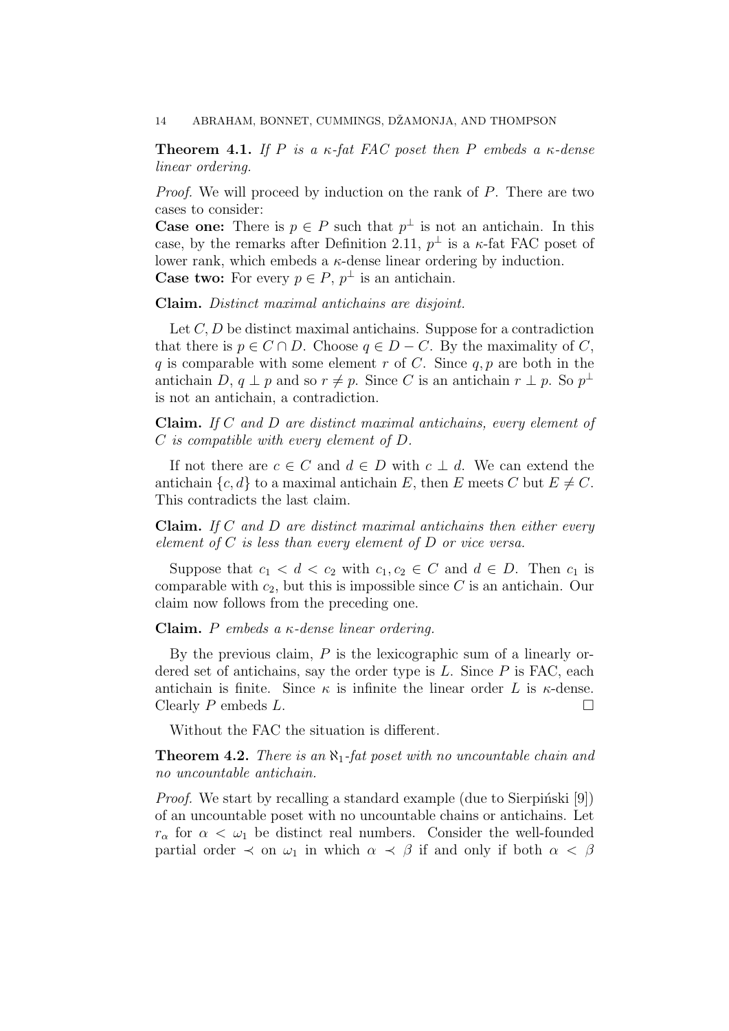**Theorem 4.1.** If P is a  $\kappa$ -fat FAC poset then P embeds a  $\kappa$ -dense linear ordering.

Proof. We will proceed by induction on the rank of P. There are two cases to consider:

**Case one:** There is  $p \in P$  such that  $p^{\perp}$  is not an antichain. In this case, by the remarks after Definition 2.11,  $p^{\perp}$  is a  $\kappa$ -fat FAC poset of lower rank, which embeds a  $\kappa$ -dense linear ordering by induction. **Case two:** For every  $p \in P$ ,  $p^{\perp}$  is an antichain.

Claim. Distinct maximal antichains are disjoint.

Let  $C, D$  be distinct maximal antichains. Suppose for a contradiction that there is  $p \in C \cap D$ . Choose  $q \in D - C$ . By the maximality of C, q is comparable with some element r of C. Since  $q, p$  are both in the antichain D,  $q \perp p$  and so  $r \neq p$ . Since C is an antichain  $r \perp p$ . So  $p^{\perp}$ is not an antichain, a contradiction.

Claim. If C and D are distinct maximal antichains, every element of C is compatible with every element of D.

If not there are  $c \in C$  and  $d \in D$  with  $c \perp d$ . We can extend the antichain  $\{c, d\}$  to a maximal antichain E, then E meets C but  $E \neq C$ . This contradicts the last claim.

**Claim.** If C and D are distinct maximal antichains then either every element of  $C$  is less than every element of  $D$  or vice versa.

Suppose that  $c_1 < d < c_2$  with  $c_1, c_2 \in C$  and  $d \in D$ . Then  $c_1$  is comparable with  $c_2$ , but this is impossible since C is an antichain. Our claim now follows from the preceding one.

Claim. P embeds a  $\kappa$ -dense linear ordering.

By the previous claim,  $P$  is the lexicographic sum of a linearly ordered set of antichains, say the order type is  $L$ . Since  $P$  is FAC, each antichain is finite. Since  $\kappa$  is infinite the linear order L is  $\kappa$ -dense. Clearly  $P$  embeds  $L$ .

Without the FAC the situation is different.

**Theorem 4.2.** There is an  $\aleph_1$ -fat poset with no uncountable chain and no uncountable antichain.

*Proof.* We start by recalling a standard example (due to Sierpinski [9]) of an uncountable poset with no uncountable chains or antichains. Let  $r_{\alpha}$  for  $\alpha < \omega_1$  be distinct real numbers. Consider the well-founded partial order  $\prec$  on  $\omega_1$  in which  $\alpha \prec \beta$  if and only if both  $\alpha < \beta$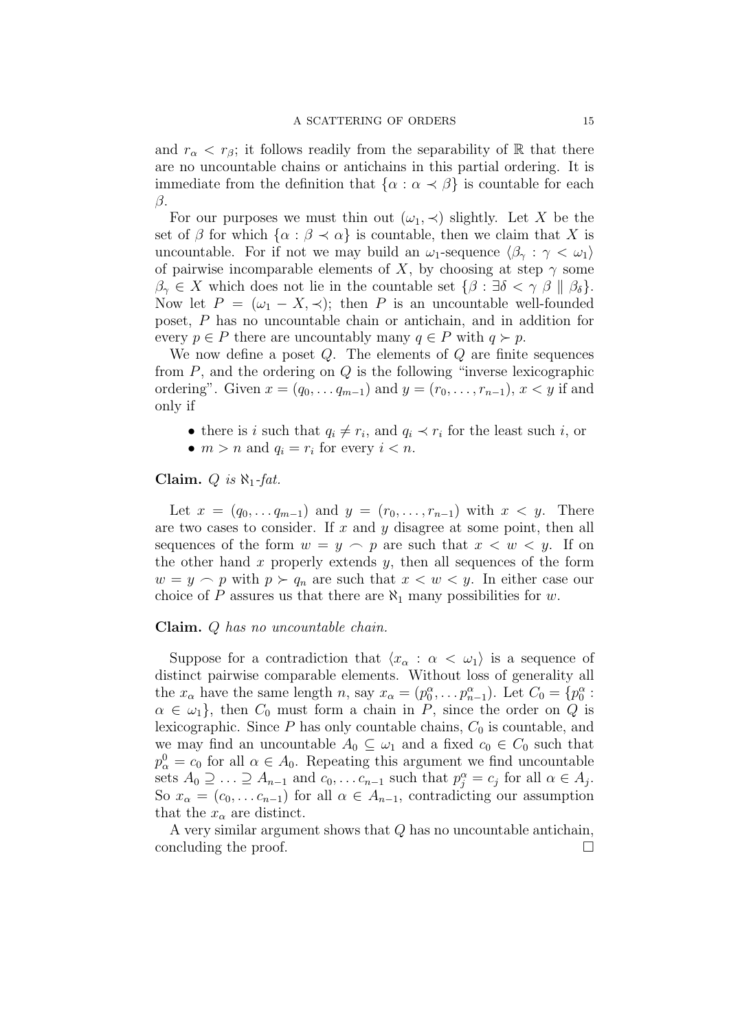and  $r_{\alpha} < r_{\beta}$ ; it follows readily from the separability of R that there are no uncountable chains or antichains in this partial ordering. It is immediate from the definition that  $\{\alpha : \alpha \prec \beta\}$  is countable for each β.

For our purposes we must thin out  $(\omega_1, \prec)$  slightly. Let X be the set of  $\beta$  for which  $\{\alpha : \beta \prec \alpha\}$  is countable, then we claim that X is uncountable. For if not we may build an  $\omega_1$ -sequence  $\langle \beta_{\gamma} : \gamma < \omega_1 \rangle$ of pairwise incomparable elements of X, by choosing at step  $\gamma$  some  $\beta_{\gamma} \in X$  which does not lie in the countable set  $\{\beta : \exists \delta < \gamma \beta \mid \beta_{\delta}\}.$ Now let  $P = (\omega_1 - X, \prec)$ ; then P is an uncountable well-founded poset, P has no uncountable chain or antichain, and in addition for every  $p \in P$  there are uncountably many  $q \in P$  with  $q \succ p$ .

We now define a poset  $Q$ . The elements of  $Q$  are finite sequences from  $P$ , and the ordering on  $Q$  is the following "inverse lexicographic ordering". Given  $x = (q_0, \ldots q_{m-1})$  and  $y = (r_0, \ldots, r_{n-1}), x < y$  if and only if

- there is i such that  $q_i \neq r_i$ , and  $q_i \prec r_i$  for the least such i, or
- $m > n$  and  $q_i = r_i$  for every  $i < n$ .

## Claim. Q is  $\aleph_1$ -fat.

Let  $x = (q_0, \ldots q_{m-1})$  and  $y = (r_0, \ldots, r_{n-1})$  with  $x < y$ . There are two cases to consider. If  $x$  and  $y$  disagree at some point, then all sequences of the form  $w = y \sim p$  are such that  $x < w < y$ . If on the other hand  $x$  properly extends  $y$ , then all sequences of the form  $w = y \sim p$  with  $p \succ q_n$  are such that  $x < w < y$ . In either case our choice of P assures us that there are  $\aleph_1$  many possibilities for w.

#### Claim. Q has no uncountable chain.

Suppose for a contradiction that  $\langle x_{\alpha} : \alpha < \omega_1 \rangle$  is a sequence of distinct pairwise comparable elements. Without loss of generality all the  $x_{\alpha}$  have the same length n, say  $x_{\alpha} = (p_0^{\alpha}, \dots p_{n-1}^{\alpha})$ . Let  $C_0 = \{p_0^{\alpha}$ :  $\alpha \in \omega_1$ , then  $C_0$  must form a chain in P, since the order on Q is lexicographic. Since  $P$  has only countable chains,  $C_0$  is countable, and we may find an uncountable  $A_0 \subseteq \omega_1$  and a fixed  $c_0 \in C_0$  such that  $p_{\alpha}^{0} = c_{0}$  for all  $\alpha \in A_{0}$ . Repeating this argument we find uncountable sets  $A_0 \supseteq \ldots \supseteq A_{n-1}$  and  $c_0, \ldots c_{n-1}$  such that  $p_j^{\alpha} = c_j$  for all  $\alpha \in A_j$ . So  $x_{\alpha} = (c_0, \ldots c_{n-1})$  for all  $\alpha \in A_{n-1}$ , contradicting our assumption that the  $x_{\alpha}$  are distinct.

A very similar argument shows that  $Q$  has no uncountable antichain, concluding the proof.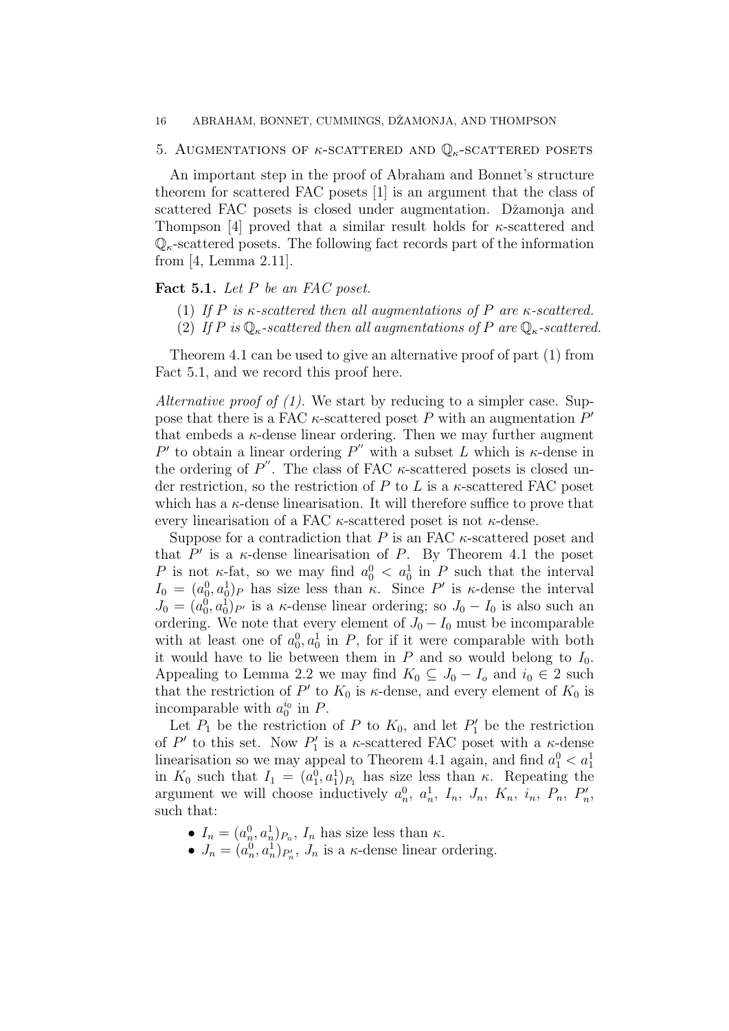#### 16 ABRAHAM, BONNET, CUMMINGS, DŽAMONJA, AND THOMPSON

## 5. AUGMENTATIONS OF  $\kappa$ -SCATTERED AND  $\mathbb{Q}_{\kappa}$ -SCATTERED POSETS

An important step in the proof of Abraham and Bonnet's structure theorem for scattered FAC posets [1] is an argument that the class of scattered FAC posets is closed under augmentation. Džamonja and Thompson [4] proved that a similar result holds for  $\kappa$ -scattered and  $\mathbb{Q}_{\kappa}$ -scattered posets. The following fact records part of the information from [4, Lemma 2.11].

Fact 5.1. Let  $P$  be an FAC poset.

- (1) If P is  $\kappa$ -scattered then all augmentations of P are  $\kappa$ -scattered.
- (2) If P is  $\mathbb{Q}_{\kappa}$ -scattered then all augmentations of P are  $\mathbb{Q}_{\kappa}$ -scattered.

Theorem 4.1 can be used to give an alternative proof of part (1) from Fact 5.1, and we record this proof here.

Alternative proof of (1). We start by reducing to a simpler case. Suppose that there is a FAC  $\kappa$ -scattered poset P with an augmentation  $P'$ that embeds a  $\kappa$ -dense linear ordering. Then we may further augment P' to obtain a linear ordering  $P''$  with a subset L which is  $\kappa$ -dense in the ordering of  $P''$ . The class of FAC  $\kappa$ -scattered posets is closed under restriction, so the restriction of P to L is a  $\kappa$ -scattered FAC poset which has a  $\kappa$ -dense linearisation. It will therefore suffice to prove that every linearisation of a FAC  $\kappa$ -scattered poset is not  $\kappa$ -dense.

Suppose for a contradiction that  $P$  is an FAC  $\kappa$ -scattered poset and that  $P'$  is a  $\kappa$ -dense linearisation of P. By Theorem 4.1 the poset P is not  $\kappa$ -fat, so we may find  $a_0^0 < a_0^1$  in P such that the interval  $I_0 = (a_0^0, a_0^1)_P$  has size less than  $\kappa$ . Since P' is  $\kappa$ -dense the interval  $J_0 = (a_0^0, a_0^1)_{P'}$  is a  $\kappa$ -dense linear ordering; so  $J_0 - I_0$  is also such an ordering. We note that every element of  $J_0 - I_0$  must be incomparable with at least one of  $a_0^0, a_0^1$  in P, for if it were comparable with both it would have to lie between them in  $P$  and so would belong to  $I_0$ . Appealing to Lemma 2.2 we may find  $K_0 \subseteq J_0 - I_o$  and  $i_0 \in 2$  such that the restriction of  $P'$  to  $K_0$  is  $\kappa$ -dense, and every element of  $K_0$  is incomparable with  $a_0^{i_0}$  in P.

Let  $P_1$  be the restriction of P to  $K_0$ , and let  $P'_1$  be the restriction of  $P'$  to this set. Now  $P'_1$  is a  $\kappa$ -scattered FAC poset with a  $\kappa$ -dense linearisation so we may appeal to Theorem 4.1 again, and find  $a_1^0 < a_1^1$ in  $K_0$  such that  $I_1 = (a_1^0, a_1^1)_{P_1}$  has size less than  $\kappa$ . Repeating the argument we will choose inductively  $a_n^0$ ,  $a_n^1$ ,  $I_n$ ,  $J_n$ ,  $K_n$ ,  $i_n$ ,  $P_n$ ,  $P'_n$ , such that:

- $I_n = (a_n^0, a_n^1)_{P_n}, I_n$  has size less than  $\kappa$ .
- $J_n = (a_n^0, a_n^1)_{P_n'}, J_n$  is a  $\kappa$ -dense linear ordering.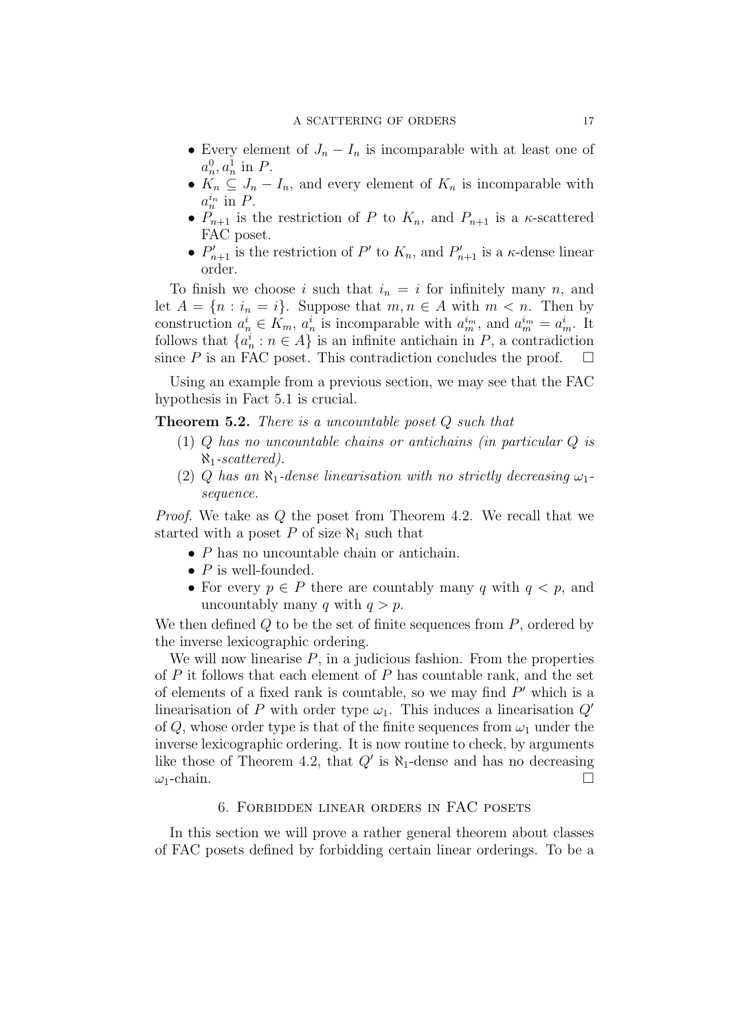- Every element of  $J_n I_n$  is incomparable with at least one of  $a_n^0, a_n^1$  in  $P$ .
- $K_n \subseteq J_n I_n$ , and every element of  $K_n$  is incomparable with  $a_n^{i_n}$  in  $P$ .
- $P_{n+1}$  is the restriction of P to  $K_n$ , and  $P_{n+1}$  is a  $\kappa$ -scattered FAC poset.
- $P'_{n+1}$  is the restriction of P' to  $K_n$ , and  $P'_{n+1}$  is a  $\kappa$ -dense linear order.

To finish we choose i such that  $i_n = i$  for infinitely many n, and let  $A = \{n : i_n = i\}$ . Suppose that  $m, n \in A$  with  $m < n$ . Then by construction  $a_n^i \in K_m$ ,  $a_n^i$  is incomparable with  $a_m^{i_m}$ , and  $a_m^{i_m} = a_m^i$ . It follows that  $\{a_n^i : n \in A\}$  is an infinite antichain in P, a contradiction since P is an FAC poset. This contradiction concludes the proof.  $\Box$ 

Using an example from a previous section, we may see that the FAC hypothesis in Fact 5.1 is crucial.

**Theorem 5.2.** There is a uncountable poset  $Q$  such that

- (1) Q has no uncountable chains or antichains (in particular Q is  $\aleph_1$ -scattered).
- (2) Q has an  $\aleph_1$ -dense linearisation with no strictly decreasing  $\omega_1$ sequence.

Proof. We take as Q the poset from Theorem 4.2. We recall that we started with a poset P of size  $\aleph_1$  such that

- P has no uncountable chain or antichain.
- $P$  is well-founded.
- For every  $p \in P$  there are countably many q with  $q < p$ , and uncountably many q with  $q > p$ .

We then defined  $Q$  to be the set of finite sequences from  $P$ , ordered by the inverse lexicographic ordering.

We will now linearise  $P$ , in a judicious fashion. From the properties of  $P$  it follows that each element of  $P$  has countable rank, and the set of elements of a fixed rank is countable, so we may find  $P'$  which is a linearisation of P with order type  $\omega_1$ . This induces a linearisation  $Q'$ of Q, whose order type is that of the finite sequences from  $\omega_1$  under the inverse lexicographic ordering. It is now routine to check, by arguments like those of Theorem 4.2, that  $Q'$  is  $\aleph_1$ -dense and has no decreasing  $\omega_1$ -chain.

#### 6. Forbidden linear orders in FAC posets

In this section we will prove a rather general theorem about classes of FAC posets defined by forbidding certain linear orderings. To be a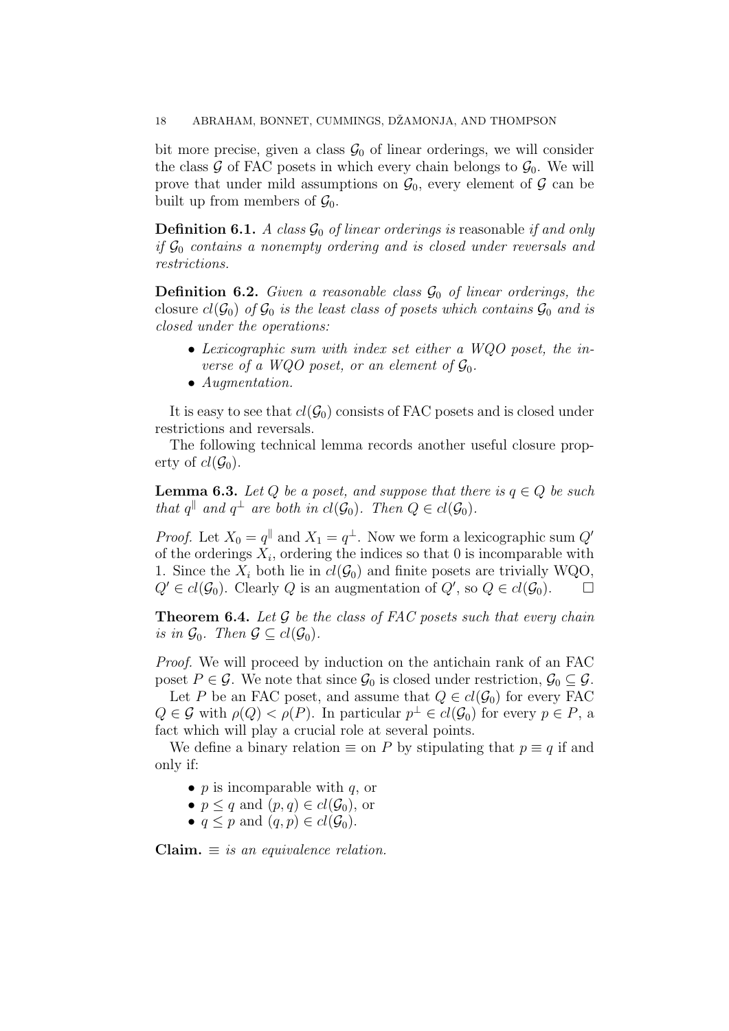bit more precise, given a class  $\mathcal{G}_0$  of linear orderings, we will consider the class  $\mathcal G$  of FAC posets in which every chain belongs to  $\mathcal G_0$ . We will prove that under mild assumptions on  $\mathcal{G}_0$ , every element of  $\mathcal{G}$  can be built up from members of  $\mathcal{G}_0$ .

**Definition 6.1.** A class  $\mathcal{G}_0$  of linear orderings is reasonable if and only if  $\mathcal{G}_0$  contains a nonempty ordering and is closed under reversals and restrictions.

**Definition 6.2.** Given a reasonable class  $\mathcal{G}_0$  of linear orderings, the closure  $cl(G_0)$  of  $G_0$  is the least class of posets which contains  $G_0$  and is closed under the operations:

- Lexicographic sum with index set either a WQO poset, the inverse of a WQO poset, or an element of  $\mathcal{G}_0$ .
- Augmentation.

It is easy to see that  $cl(G_0)$  consists of FAC posets and is closed under restrictions and reversals.

The following technical lemma records another useful closure property of  $cl(\mathcal{G}_0)$ .

**Lemma 6.3.** Let Q be a poset, and suppose that there is  $q \in Q$  be such that  $q^{\parallel}$  and  $q^{\perp}$  are both in  $cl(\mathcal{G}_0)$ . Then  $Q \in cl(\mathcal{G}_0)$ .

*Proof.* Let  $X_0 = q^{\parallel}$  and  $X_1 = q^{\perp}$ . Now we form a lexicographic sum  $Q'$ of the orderings  $X_i$ , ordering the indices so that 0 is incomparable with 1. Since the  $X_i$  both lie in  $cl(G_0)$  and finite posets are trivially WQO,  $Q' \in cl(\mathcal{G}_0)$ . Clearly Q is an augmentation of  $Q'$ , so  $Q \in cl(\mathcal{G}_0)$ .

**Theorem 6.4.** Let  $\mathcal G$  be the class of FAC posets such that every chain is in  $\mathcal{G}_0$ . Then  $\mathcal{G} \subseteq cl(\mathcal{G}_0)$ .

Proof. We will proceed by induction on the antichain rank of an FAC poset  $P \in \mathcal{G}$ . We note that since  $\mathcal{G}_0$  is closed under restriction,  $\mathcal{G}_0 \subseteq \mathcal{G}$ .

Let P be an FAC poset, and assume that  $Q \in cl(\mathcal{G}_0)$  for every FAC  $Q \in \mathcal{G}$  with  $\rho(Q) < \rho(P)$ . In particular  $p^{\perp} \in cl(\mathcal{G}_0)$  for every  $p \in P$ , a fact which will play a crucial role at several points.

We define a binary relation  $\equiv$  on P by stipulating that  $p \equiv q$  if and only if:

- p is incomparable with  $q$ , or
- $p \leq q$  and  $(p, q) \in cl(\mathcal{G}_0)$ , or
- $q \leq p$  and  $(q, p) \in cl(\mathcal{G}_0)$ .

Claim.  $\equiv$  is an equivalence relation.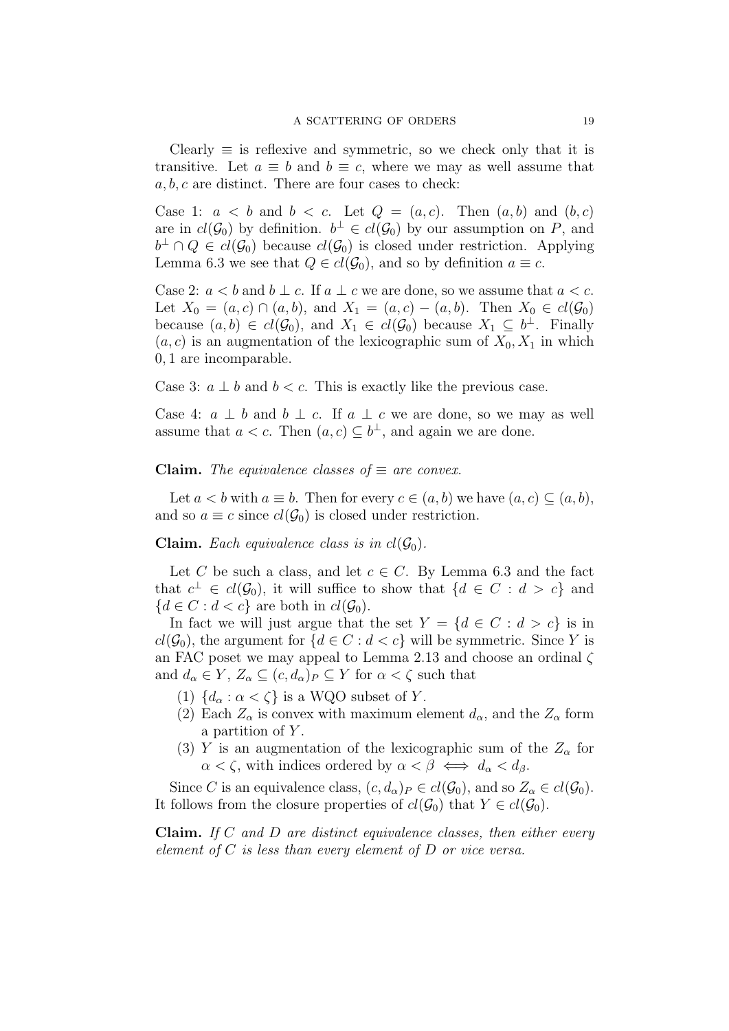Clearly  $\equiv$  is reflexive and symmetric, so we check only that it is transitive. Let  $a \equiv b$  and  $b \equiv c$ , where we may as well assume that  $a, b, c$  are distinct. There are four cases to check:

Case 1:  $a < b$  and  $b < c$ . Let  $Q = (a, c)$ . Then  $(a, b)$  and  $(b, c)$ are in  $cl(\mathcal{G}_0)$  by definition.  $b^{\perp} \in cl(\mathcal{G}_0)$  by our assumption on P, and  $b^{\perp} \cap Q \in cl(\mathcal{G}_0)$  because  $cl(\mathcal{G}_0)$  is closed under restriction. Applying Lemma 6.3 we see that  $Q \in cl(\mathcal{G}_0)$ , and so by definition  $a \equiv c$ .

Case 2:  $a < b$  and  $b \perp c$ . If  $a \perp c$  we are done, so we assume that  $a < c$ . Let  $X_0 = (a, c) \cap (a, b)$ , and  $X_1 = (a, c) - (a, b)$ . Then  $X_0 \in cl(\mathcal{G}_0)$ because  $(a, b) \in cl(\mathcal{G}_0)$ , and  $X_1 \in cl(\mathcal{G}_0)$  because  $X_1 \subseteq b^{\perp}$ . Finally  $(a, c)$  is an augmentation of the lexicographic sum of  $X_0, X_1$  in which 0, 1 are incomparable.

Case 3:  $a \perp b$  and  $b < c$ . This is exactly like the previous case.

Case 4:  $a \perp b$  and  $b \perp c$ . If  $a \perp c$  we are done, so we may as well assume that  $a < c$ . Then  $(a, c) \subseteq b^{\perp}$ , and again we are done.

**Claim.** The equivalence classes of  $\equiv$  are convex.

Let  $a < b$  with  $a \equiv b$ . Then for every  $c \in (a, b)$  we have  $(a, c) \subseteq (a, b)$ , and so  $a \equiv c$  since  $cl(\mathcal{G}_0)$  is closed under restriction.

**Claim.** Each equivalence class is in  $cl(\mathcal{G}_0)$ .

Let C be such a class, and let  $c \in C$ . By Lemma 6.3 and the fact that  $c^{\perp} \in cl(\mathcal{G}_0)$ , it will suffice to show that  $\{d \in C : d > c\}$  and  ${d \in C : d < c}$  are both in  $cl(\mathcal{G}_0)$ .

In fact we will just argue that the set  $Y = \{d \in C : d > c\}$  is in  $cl(G_0)$ , the argument for  ${d \in C : d < c}$  will be symmetric. Since Y is an FAC poset we may appeal to Lemma 2.13 and choose an ordinal ζ and  $d_{\alpha} \in Y$ ,  $Z_{\alpha} \subseteq (c, d_{\alpha})_P \subseteq Y$  for  $\alpha < \zeta$  such that

- (1)  $\{d_{\alpha} : \alpha < \zeta\}$  is a WQO subset of Y.
- (2) Each  $Z_{\alpha}$  is convex with maximum element  $d_{\alpha}$ , and the  $Z_{\alpha}$  form a partition of Y.
- (3) Y is an augmentation of the lexicographic sum of the  $Z_{\alpha}$  for  $\alpha < \zeta$ , with indices ordered by  $\alpha < \beta \iff d_{\alpha} < d_{\beta}$ .

Since C is an equivalence class,  $(c, d_{\alpha})_P \in cl(\mathcal{G}_0)$ , and so  $Z_{\alpha} \in cl(\mathcal{G}_0)$ . It follows from the closure properties of  $cl(G_0)$  that  $Y \in cl(G_0)$ .

Claim. If C and D are distinct equivalence classes, then either every element of  $C$  is less than every element of  $D$  or vice versa.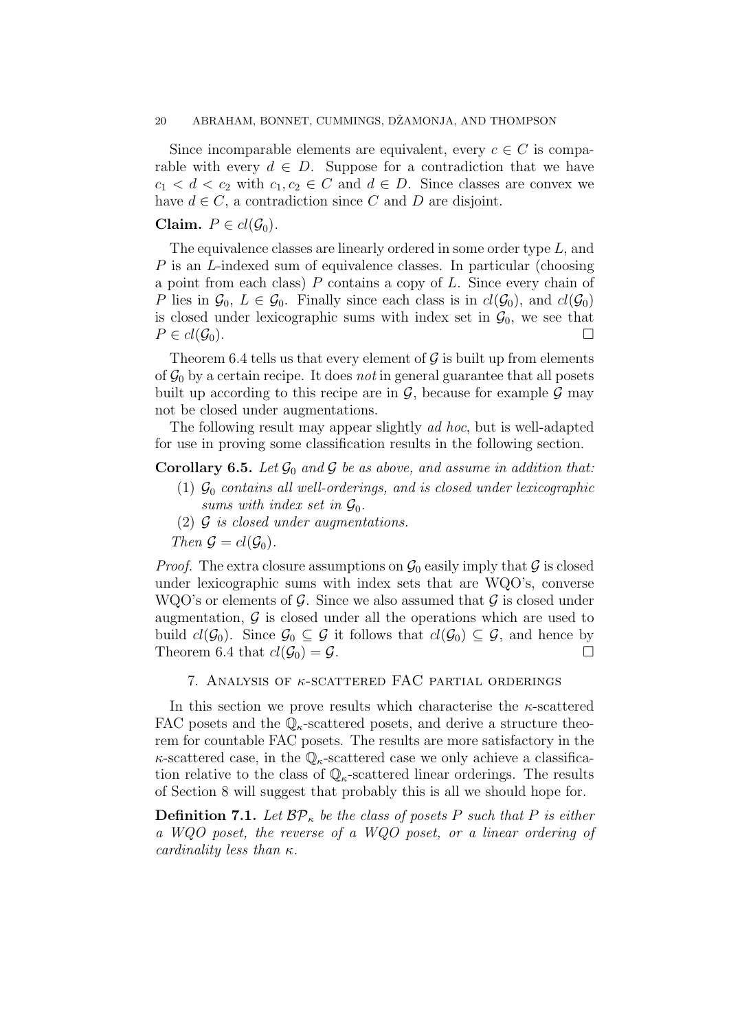#### 20 ABRAHAM, BONNET, CUMMINGS, DŽAMONJA, AND THOMPSON

Since incomparable elements are equivalent, every  $c \in C$  is comparable with every  $d \in D$ . Suppose for a contradiction that we have  $c_1 < d < c_2$  with  $c_1, c_2 \in C$  and  $d \in D$ . Since classes are convex we have  $d \in C$ , a contradiction since C and D are disjoint.

# Claim.  $P \in cl(\mathcal{G}_0)$ .

The equivalence classes are linearly ordered in some order type L, and P is an L-indexed sum of equivalence classes. In particular (choosing a point from each class)  $P$  contains a copy of  $L$ . Since every chain of P lies in  $\mathcal{G}_0$ ,  $L \in \mathcal{G}_0$ . Finally since each class is in  $cl(\mathcal{G}_0)$ , and  $cl(\mathcal{G}_0)$ is closed under lexicographic sums with index set in  $\mathcal{G}_0$ , we see that  $P \in cl(\mathcal{G}_0).$ 

Theorem 6.4 tells us that every element of  $\mathcal G$  is built up from elements of  $\mathcal{G}_0$  by a certain recipe. It does not in general guarantee that all posets built up according to this recipe are in  $\mathcal{G}$ , because for example  $\mathcal{G}$  may not be closed under augmentations.

The following result may appear slightly ad hoc, but is well-adapted for use in proving some classification results in the following section.

## **Corollary 6.5.** Let  $\mathcal{G}_0$  and  $\mathcal{G}$  be as above, and assume in addition that:

- (1)  $\mathcal{G}_0$  contains all well-orderings, and is closed under lexicographic sums with index set in  $\mathcal{G}_0$ .
- $(2)$  G is closed under augmentations.

Then  $\mathcal{G} = cl(\mathcal{G}_0)$ .

*Proof.* The extra closure assumptions on  $\mathcal{G}_0$  easily imply that  $\mathcal G$  is closed under lexicographic sums with index sets that are WQO's, converse WQO's or elements of  $\mathcal G$ . Since we also assumed that  $\mathcal G$  is closed under augmentation,  $\mathcal G$  is closed under all the operations which are used to build  $cl(\mathcal{G}_0)$ . Since  $\mathcal{G}_0 \subseteq \mathcal{G}$  it follows that  $cl(\mathcal{G}_0) \subseteq \mathcal{G}$ , and hence by Theorem 6.4 that  $cl(\mathcal{G}_0) = \mathcal{G}$ .

# 7. ANALYSIS OF  $\kappa$ -SCATTERED FAC PARTIAL ORDERINGS

In this section we prove results which characterise the  $\kappa$ -scattered FAC posets and the  $\mathbb{Q}_{\kappa}$ -scattered posets, and derive a structure theorem for countable FAC posets. The results are more satisfactory in the  $\kappa$ -scattered case, in the  $\mathbb{Q}_{\kappa}$ -scattered case we only achieve a classification relative to the class of  $\mathbb{Q}_{\kappa}$ -scattered linear orderings. The results of Section 8 will suggest that probably this is all we should hope for.

**Definition 7.1.** Let  $BP_{\kappa}$  be the class of posets P such that P is either a WQO poset, the reverse of a WQO poset, or a linear ordering of cardinality less than  $\kappa$ .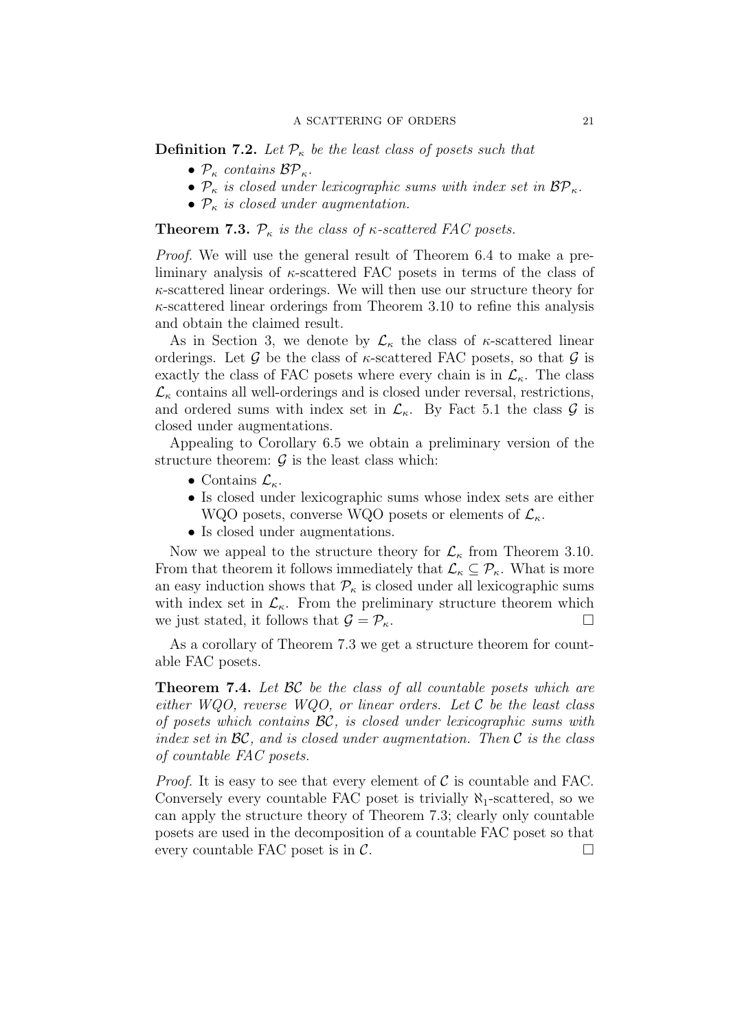**Definition 7.2.** Let  $\mathcal{P}_{\kappa}$  be the least class of posets such that

- $P_{\kappa}$  contains  $BP_{\kappa}$ .
- $P_{\kappa}$  is closed under lexicographic sums with index set in  $BP_{\kappa}$ .
- $\mathcal{P}_{\kappa}$  is closed under augmentation.

**Theorem 7.3.**  $\mathcal{P}_{\kappa}$  is the class of  $\kappa$ -scattered FAC posets.

Proof. We will use the general result of Theorem 6.4 to make a preliminary analysis of  $\kappa$ -scattered FAC posets in terms of the class of  $\kappa$ -scattered linear orderings. We will then use our structure theory for  $\kappa$ -scattered linear orderings from Theorem 3.10 to refine this analysis and obtain the claimed result.

As in Section 3, we denote by  $\mathcal{L}_{\kappa}$  the class of  $\kappa$ -scattered linear orderings. Let G be the class of  $\kappa$ -scattered FAC posets, so that G is exactly the class of FAC posets where every chain is in  $\mathcal{L}_{\kappa}$ . The class  $\mathcal{L}_{\kappa}$  contains all well-orderings and is closed under reversal, restrictions, and ordered sums with index set in  $\mathcal{L}_{\kappa}$ . By Fact 5.1 the class  $\mathcal{G}$  is closed under augmentations.

Appealing to Corollary 6.5 we obtain a preliminary version of the structure theorem:  $\mathcal G$  is the least class which:

- Contains  $\mathcal{L}_{\kappa}$ .
- Is closed under lexicographic sums whose index sets are either
- WQO posets, converse WQO posets or elements of  $\mathcal{L}_{\kappa}$ .
- Is closed under augmentations.

Now we appeal to the structure theory for  $\mathcal{L}_{\kappa}$  from Theorem 3.10. From that theorem it follows immediately that  $\mathcal{L}_{\kappa} \subseteq \mathcal{P}_{\kappa}$ . What is more an easy induction shows that  $\mathcal{P}_{\kappa}$  is closed under all lexicographic sums with index set in  $\mathcal{L}_{\kappa}$ . From the preliminary structure theorem which we just stated, it follows that  $\mathcal{G} = \mathcal{P}_{\kappa}$ .

As a corollary of Theorem 7.3 we get a structure theorem for countable FAC posets.

**Theorem 7.4.** Let  $BC$  be the class of all countable posets which are either WQO, reverse WQO, or linear orders. Let  $\mathcal C$  be the least class of posets which contains  $\mathcal{BC}$ , is closed under lexicographic sums with index set in  $\mathcal{BC}$ , and is closed under augmentation. Then  $\mathcal C$  is the class of countable FAC posets.

*Proof.* It is easy to see that every element of  $\mathcal C$  is countable and FAC. Conversely every countable FAC poset is trivially  $\aleph_1$ -scattered, so we can apply the structure theory of Theorem 7.3; clearly only countable posets are used in the decomposition of a countable FAC poset so that every countable FAC poset is in  $\mathcal{C}$ .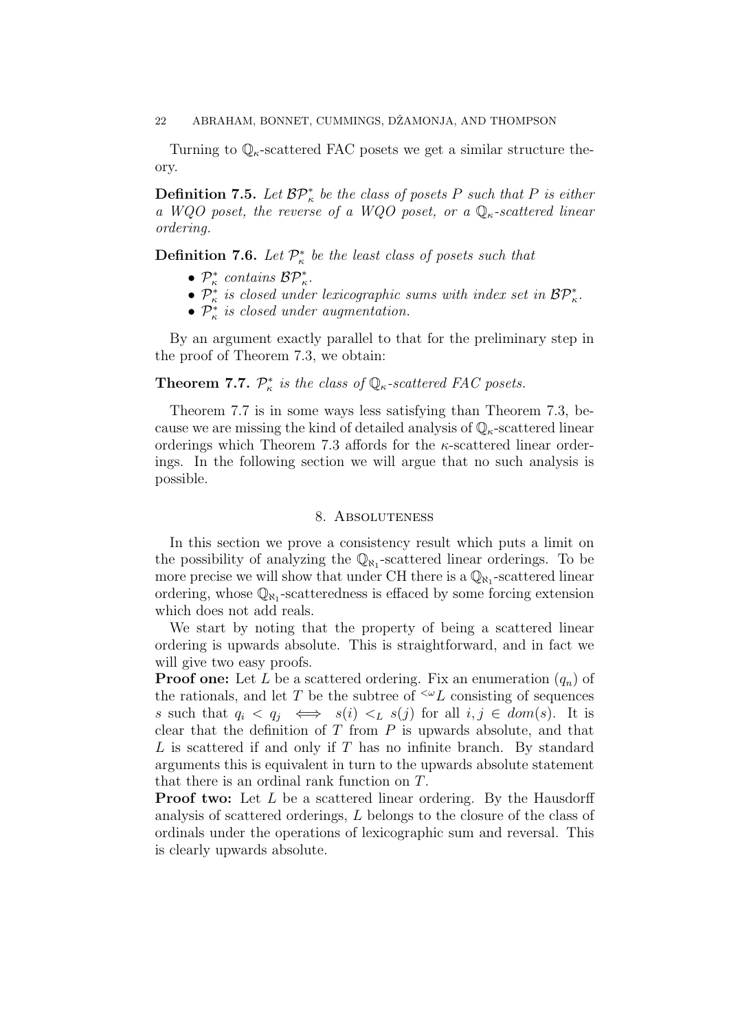Turning to  $\mathbb{Q}_{\kappa}$ -scattered FAC posets we get a similar structure theory.

**Definition 7.5.** Let  $\mathcal{BP}_{\kappa}^*$  be the class of posets P such that P is either a WQO poset, the reverse of a WQO poset, or a  $\mathbb{Q}_{\kappa}$ -scattered linear ordering.

**Definition 7.6.** Let  $\mathcal{P}_{\kappa}^*$  be the least class of posets such that

- $\mathcal{P}_{\kappa}^*$  contains  $\mathcal{BP}_{\kappa}^*$ .
- $\mathcal{P}_{\kappa}^*$  is closed under lexicographic sums with index set in  $\mathcal{BP}_{\kappa}^*$ .
- $\mathcal{P}_{\kappa}^{*}$  is closed under augmentation.

By an argument exactly parallel to that for the preliminary step in the proof of Theorem 7.3, we obtain:

# **Theorem 7.7.**  $\mathcal{P}_{\kappa}^*$  is the class of  $\mathbb{Q}_{\kappa}$ -scattered FAC posets.

Theorem 7.7 is in some ways less satisfying than Theorem 7.3, because we are missing the kind of detailed analysis of  $\mathbb{Q}_{\kappa}$ -scattered linear orderings which Theorem 7.3 affords for the  $\kappa$ -scattered linear orderings. In the following section we will argue that no such analysis is possible.

# 8. Absoluteness

In this section we prove a consistency result which puts a limit on the possibility of analyzing the  $\mathbb{Q}_{\aleph_1}$ -scattered linear orderings. To be more precise we will show that under CH there is a  $\mathbb{Q}_{N_1}$ -scattered linear ordering, whose  $\mathbb{Q}_{N_1}$ -scatteredness is effaced by some forcing extension which does not add reals.

We start by noting that the property of being a scattered linear ordering is upwards absolute. This is straightforward, and in fact we will give two easy proofs.

**Proof one:** Let L be a scattered ordering. Fix an enumeration  $(q_n)$  of the rationals, and let T be the subtree of  $\leq \omega L$  consisting of sequences s such that  $q_i \le q_j \iff s(i) \le L s(j)$  for all  $i, j \in dom(s)$ . It is clear that the definition of  $T$  from  $P$  is upwards absolute, and that  $L$  is scattered if and only if  $T$  has no infinite branch. By standard arguments this is equivalent in turn to the upwards absolute statement that there is an ordinal rank function on T.

**Proof two:** Let L be a scattered linear ordering. By the Hausdorff analysis of scattered orderings, L belongs to the closure of the class of ordinals under the operations of lexicographic sum and reversal. This is clearly upwards absolute.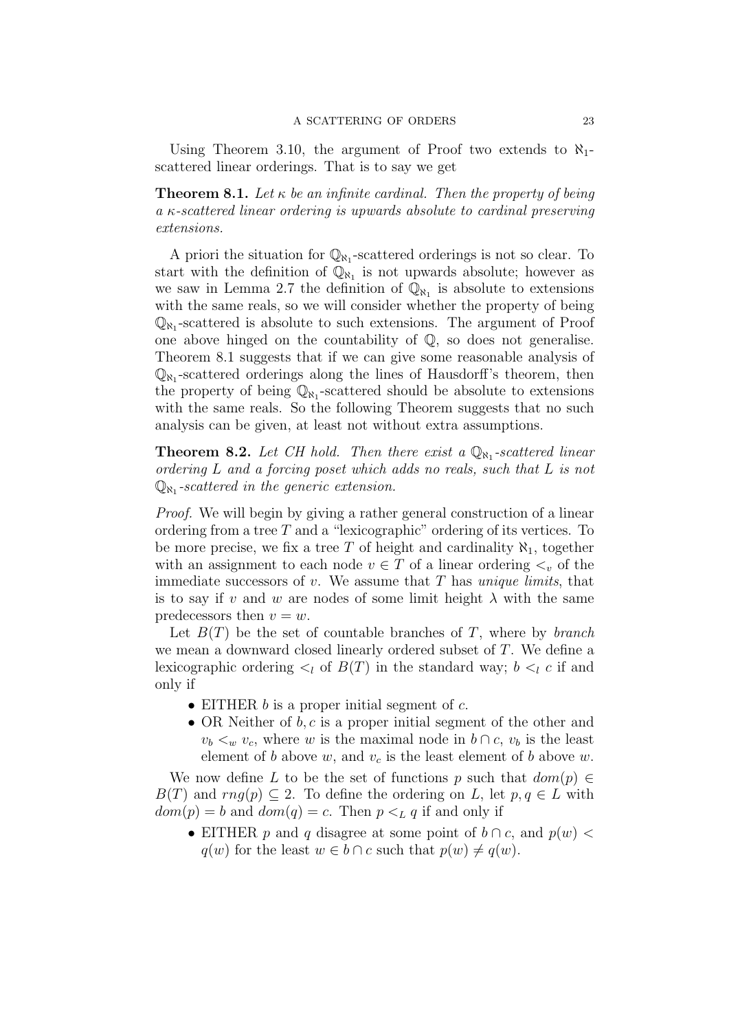Using Theorem 3.10, the argument of Proof two extends to  $\aleph_1$ scattered linear orderings. That is to say we get

**Theorem 8.1.** Let  $\kappa$  be an infinite cardinal. Then the property of being a κ-scattered linear ordering is upwards absolute to cardinal preserving extensions.

A priori the situation for  $\mathbb{Q}_{N_1}$ -scattered orderings is not so clear. To start with the definition of  $\overline{\mathbb{Q}_{N_1}}$  is not upwards absolute; however as we saw in Lemma 2.7 the definition of  $\overline{\mathbb{Q}}_{N_1}$  is absolute to extensions with the same reals, so we will consider whether the property of being  $\mathbb{Q}_{N_1}$ -scattered is absolute to such extensions. The argument of Proof one above hinged on the countability of Q, so does not generalise. Theorem 8.1 suggests that if we can give some reasonable analysis of  $\mathbb{Q}_{N_1}$ -scattered orderings along the lines of Hausdorff's theorem, then the property of being  $\mathbb{Q}_{N_1}$ -scattered should be absolute to extensions with the same reals. So the following Theorem suggests that no such analysis can be given, at least not without extra assumptions.

**Theorem 8.2.** Let CH hold. Then there exist a  $\mathbb{Q}_{N_1}$ -scattered linear ordering L and a forcing poset which adds no reals, such that L is not  $\mathbb{Q}_{\aleph_1}$ -scattered in the generic extension.

Proof. We will begin by giving a rather general construction of a linear ordering from a tree  $T$  and a "lexicographic" ordering of its vertices. To be more precise, we fix a tree T of height and cardinality  $\aleph_1$ , together with an assignment to each node  $v \in T$  of a linear ordering  $\lt_v$  of the immediate successors of  $v$ . We assume that  $T$  has unique limits, that is to say if v and w are nodes of some limit height  $\lambda$  with the same predecessors then  $v = w$ .

Let  $B(T)$  be the set of countable branches of T, where by *branch* we mean a downward closed linearly ordered subset of T. We define a lexicographic ordering  $\lt_l$  of  $B(T)$  in the standard way;  $b \lt_l c$  if and only if

- EITHER  $b$  is a proper initial segment of  $c$ .
- OR Neither of  $b, c$  is a proper initial segment of the other and  $v_b <_w v_c$ , where w is the maximal node in  $b \cap c$ ,  $v_b$  is the least element of b above w, and  $v_c$  is the least element of b above w.

We now define L to be the set of functions p such that  $dom(p) \in$  $B(T)$  and  $rng(p) \subseteq 2$ . To define the ordering on L, let  $p, q \in L$  with  $dom(p) = b$  and  $dom(q) = c$ . Then  $p \lt_L q$  if and only if

• EITHER p and q disagree at some point of  $b \cap c$ , and  $p(w)$  $q(w)$  for the least  $w \in b \cap c$  such that  $p(w) \neq q(w)$ .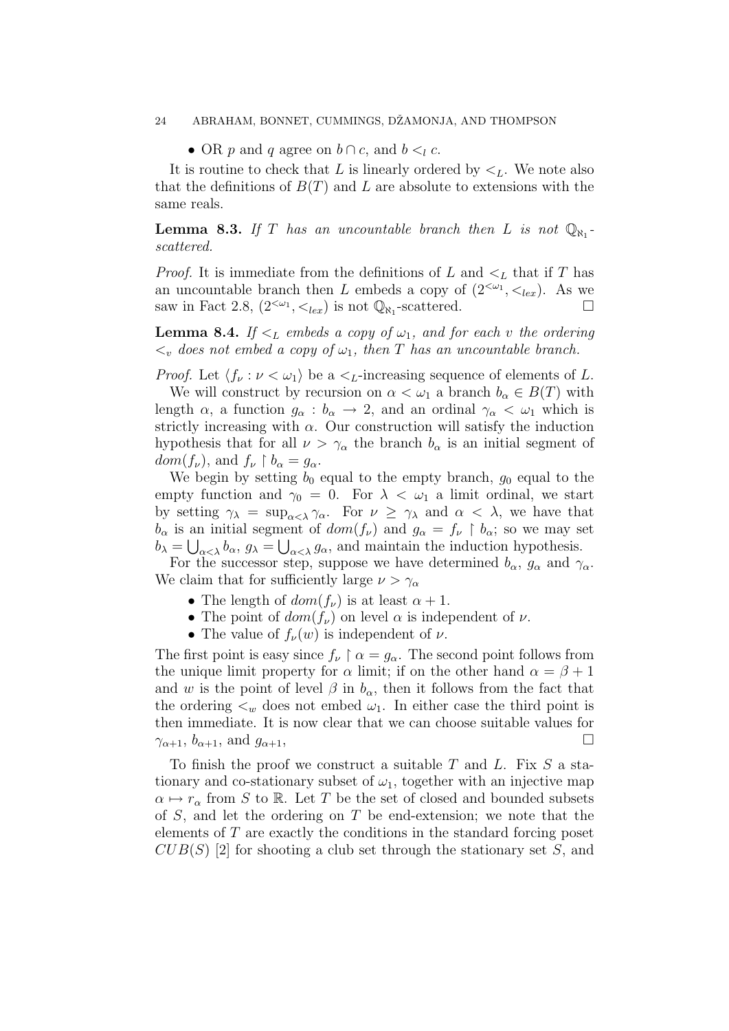#### 24 ABRAHAM, BONNET, CUMMINGS, DŽAMONJA, AND THOMPSON

• OR p and q agree on  $b \cap c$ , and  $b \leq_l c$ .

It is routine to check that L is linearly ordered by  $\lt_L$ . We note also that the definitions of  $B(T)$  and L are absolute to extensions with the same reals.

**Lemma 8.3.** If T has an uncountable branch then L is not  $\mathbb{Q}_{N_1}$ . scattered.

*Proof.* It is immediate from the definitions of L and  $\lt_L$  that if T has an uncountable branch then L embeds a copy of  $(2^{<\omega_1}, <_{lex})$ . As we saw in Fact 2.8,  $(2^{<\omega_1}, <_{lex})$  is not  $\mathbb{Q}_{\aleph_1}$ -scattered.

**Lemma 8.4.** If  $\leq_L$  embeds a copy of  $\omega_1$ , and for each v the ordering  $\langle \cdot \rangle$  does not embed a copy of  $\omega_1$ , then T has an uncountable branch.

*Proof.* Let  $\langle f_\nu : \nu < \omega_1 \rangle$  be a  $\langle L$ -increasing sequence of elements of L.

We will construct by recursion on  $\alpha < \omega_1$  a branch  $b_\alpha \in B(T)$  with length  $\alpha$ , a function  $g_{\alpha}: b_{\alpha} \to 2$ , and an ordinal  $\gamma_{\alpha} < \omega_1$  which is strictly increasing with  $\alpha$ . Our construction will satisfy the induction hypothesis that for all  $\nu > \gamma_\alpha$  the branch  $b_\alpha$  is an initial segment of  $dom(f_{\nu})$ , and  $f_{\nu} \restriction b_{\alpha} = g_{\alpha}$ .

We begin by setting  $b_0$  equal to the empty branch,  $g_0$  equal to the empty function and  $\gamma_0 = 0$ . For  $\lambda < \omega_1$  a limit ordinal, we start by setting  $\gamma_{\lambda} = \sup_{\alpha < \lambda} \gamma_{\alpha}$ . For  $\nu \geq \gamma_{\lambda}$  and  $\alpha < \lambda$ , we have that  $b_{\alpha}$  is an initial segment of  $dom(f_{\nu})$  and  $g_{\alpha} = f_{\nu} \restriction b_{\alpha}$ ; so we may set  $b_{\lambda} = \bigcup_{\alpha < \lambda} b_{\alpha}, g_{\lambda} = \bigcup_{\alpha < \lambda} g_{\alpha}$ , and maintain the induction hypothesis.

For the successor step, suppose we have determined  $b_{\alpha}$ ,  $g_{\alpha}$  and  $\gamma_{\alpha}$ . We claim that for sufficiently large  $\nu > \gamma_{\alpha}$ 

- The length of  $dom(f_\nu)$  is at least  $\alpha + 1$ .
- The point of  $dom(f_\nu)$  on level  $\alpha$  is independent of  $\nu$ .
- The value of  $f_{\nu}(w)$  is independent of  $\nu$ .

The first point is easy since  $f_{\nu} \restriction \alpha = g_{\alpha}$ . The second point follows from the unique limit property for  $\alpha$  limit; if on the other hand  $\alpha = \beta + 1$ and w is the point of level  $\beta$  in  $b_{\alpha}$ , then it follows from the fact that the ordering  $\lt_w$  does not embed  $\omega_1$ . In either case the third point is then immediate. It is now clear that we can choose suitable values for  $\gamma_{\alpha+1}, b_{\alpha+1}, \text{ and } g_{\alpha+1},$ 

To finish the proof we construct a suitable T and L. Fix  $S$  a stationary and co-stationary subset of  $\omega_1$ , together with an injective map  $\alpha \mapsto r_{\alpha}$  from S to R. Let T be the set of closed and bounded subsets of  $S$ , and let the ordering on  $T$  be end-extension; we note that the elements of  $T$  are exactly the conditions in the standard forcing poset  $CUB(S)$  [2] for shooting a club set through the stationary set S, and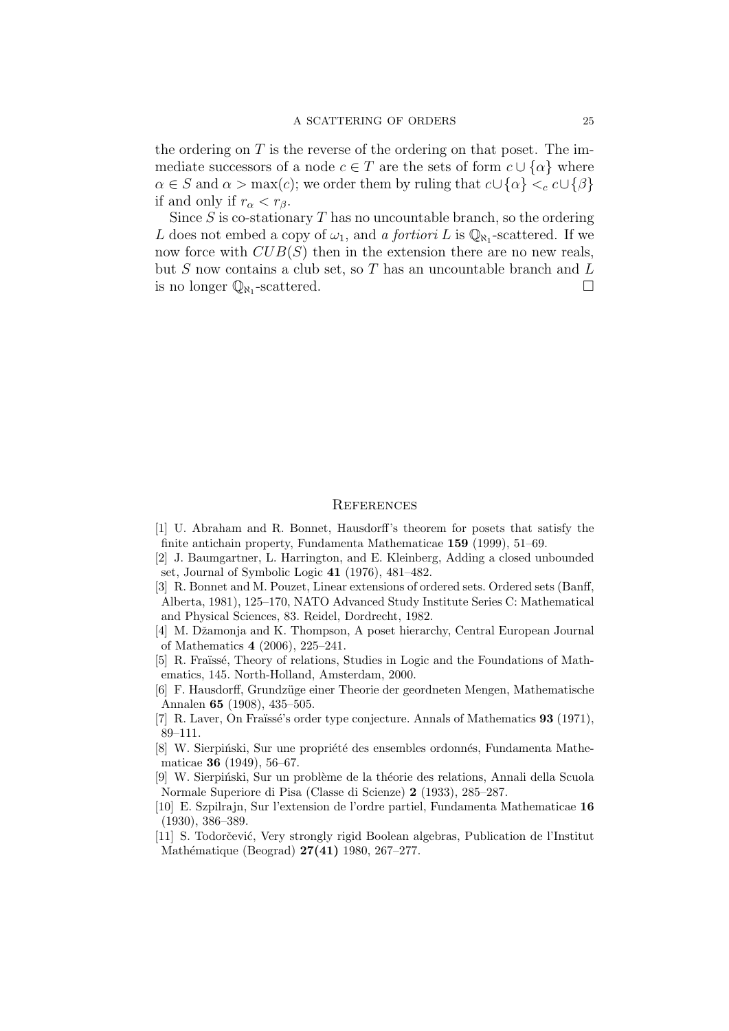the ordering on  $T$  is the reverse of the ordering on that poset. The immediate successors of a node  $c \in T$  are the sets of form  $c \cup \{\alpha\}$  where  $\alpha \in S$  and  $\alpha > \max(c)$ ; we order them by ruling that  $c \cup \{\alpha\} <_{c} c \cup \{\beta\}$ if and only if  $r_{\alpha} < r_{\beta}$ .

Since  $S$  is co-stationary  $T$  has no uncountable branch, so the ordering L does not embed a copy of  $\omega_1$ , and a fortiori L is  $\mathbb{Q}_{\aleph_1}$ -scattered. If we now force with  $CUB(S)$  then in the extension there are no new reals, but  $S$  now contains a club set, so  $T$  has an uncountable branch and  $L$ is no longer  $\mathbb{Q}_{\aleph_1}$ -scattered.

#### **REFERENCES**

- [1] U. Abraham and R. Bonnet, Hausdorff's theorem for posets that satisfy the finite antichain property, Fundamenta Mathematicae 159 (1999), 51–69.
- [2] J. Baumgartner, L. Harrington, and E. Kleinberg, Adding a closed unbounded set, Journal of Symbolic Logic 41 (1976), 481–482.
- [3] R. Bonnet and M. Pouzet, Linear extensions of ordered sets. Ordered sets (Banff, Alberta, 1981), 125–170, NATO Advanced Study Institute Series C: Mathematical and Physical Sciences, 83. Reidel, Dordrecht, 1982.
- [4] M. Džamonja and K. Thompson, A poset hierarchy, Central European Journal of Mathematics 4 (2006), 225–241.
- [5] R. Fraïssé, Theory of relations, Studies in Logic and the Foundations of Mathematics, 145. North-Holland, Amsterdam, 2000.
- [6] F. Hausdorff, Grundz¨uge einer Theorie der geordneten Mengen, Mathematische Annalen 65 (1908), 435–505.
- [7] R. Laver, On Fraïssé's order type conjecture. Annals of Mathematics 93 (1971), 89–111.
- [8] W. Sierpiński, Sur une propriété des ensembles ordonnés, Fundamenta Mathematicae 36 (1949), 56–67.
- [9] W. Sierpiński, Sur un problème de la théorie des relations, Annali della Scuola Normale Superiore di Pisa (Classe di Scienze) 2 (1933), 285–287.
- [10] E. Szpilrajn, Sur l'extension de l'ordre partiel, Fundamenta Mathematicae 16 (1930), 386–389.
- [11] S. Todorčević, Very strongly rigid Boolean algebras, Publication de l'Institut Mathématique (Beograd) 27(41) 1980, 267-277.